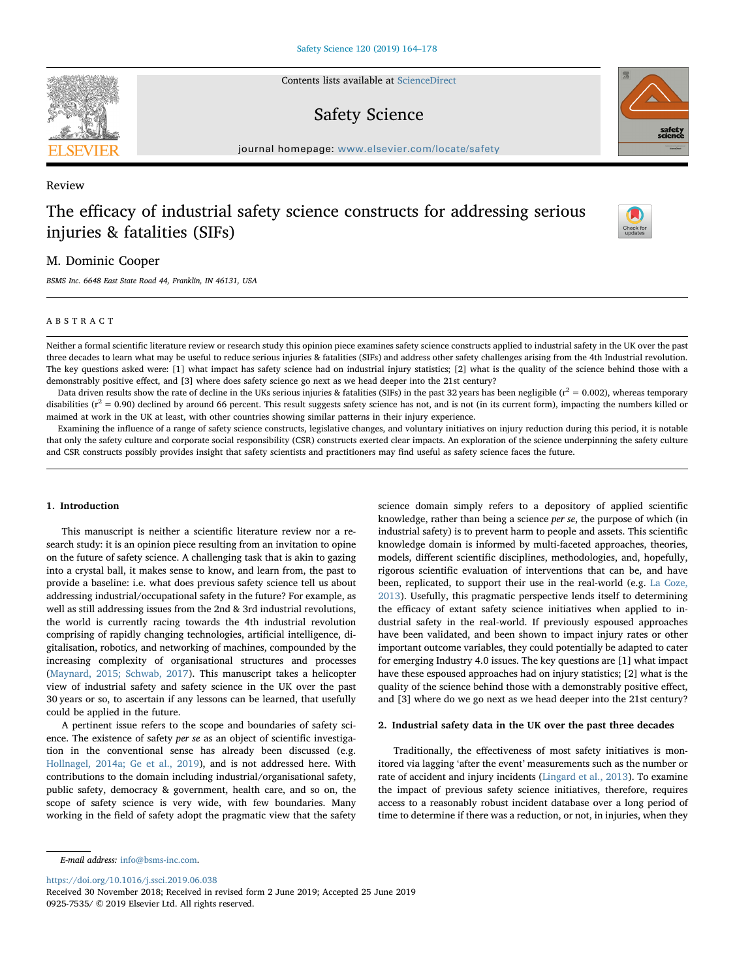Contents lists available at [ScienceDirect](http://www.sciencedirect.com/science/journal/09257535)

# Safety Science

 $j<sub>i</sub>$  and  $k<sub>i</sub>$  in the parameter.com/locate/safety/safety/safety/safety/safety/safety/safety/safety/safety/safety/safety/safety/safety/safety/safety/safety/safety/safety/safety/safety/safety/safety/safety/safety/s

## Review

# The efficacy of industrial safety science constructs for addressing serious injuries & fatalities (SIFs)

## M. Dominic Cooper

BSMS Inc. 6648 East State Road 44, Franklin, IN 46131, USA

#### ABSTRACT

Neither a formal scientific literature review or research study this opinion piece examines safety science constructs applied to industrial safety in the UK over the past three decades to learn what may be useful to reduce serious injuries & fatalities (SIFs) and address other safety challenges arising from the 4th Industrial revolution. The key questions asked were: [1] what impact has safety science had on industrial injury statistics; [2] what is the quality of the science behind those with a demonstrably positive effect, and [3] where does safety science go next as we head deeper into the 21st century?

Data driven results show the rate of decline in the UKs serious injuries & fatalities (SIFs) in the past 32 years has been negligible ( $r^2 = 0.002$ ), whereas temporary disabilities ( $r^2$  = 0.90) declined by around 66 percent. This result suggests safety science has not, and is not (in its current form), impacting the numbers killed or maimed at work in the UK at least, with other countries showing similar patterns in their injury experience.

Examining the influence of a range of safety science constructs, legislative changes, and voluntary initiatives on injury reduction during this period, it is notable that only the safety culture and corporate social responsibility (CSR) constructs exerted clear impacts. An exploration of the science underpinning the safety culture and CSR constructs possibly provides insight that safety scientists and practitioners may find useful as safety science faces the future.

## 1. Introduction

This manuscript is neither a scientific literature review nor a research study: it is an opinion piece resulting from an invitation to opine on the future of safety science. A challenging task that is akin to gazing into a crystal ball, it makes sense to know, and learn from, the past to provide a baseline: i.e. what does previous safety science tell us about addressing industrial/occupational safety in the future? For example, as well as still addressing issues from the 2nd & 3rd industrial revolutions, the world is currently racing towards the 4th industrial revolution comprising of rapidly changing technologies, artificial intelligence, digitalisation, robotics, and networking of machines, compounded by the increasing complexity of organisational structures and processes ([Maynard, 2015; Schwab, 2017\)](#page-13-0). This manuscript takes a helicopter view of industrial safety and safety science in the UK over the past 30 years or so, to ascertain if any lessons can be learned, that usefully could be applied in the future.

A pertinent issue refers to the scope and boundaries of safety science. The existence of safety per se as an object of scientific investigation in the conventional sense has already been discussed (e.g. [Hollnagel, 2014a; Ge et al., 2019](#page-12-0)), and is not addressed here. With contributions to the domain including industrial/organisational safety, public safety, democracy & government, health care, and so on, the scope of safety science is very wide, with few boundaries. Many working in the field of safety adopt the pragmatic view that the safety

science domain simply refers to a depository of applied scientific knowledge, rather than being a science per se, the purpose of which (in industrial safety) is to prevent harm to people and assets. This scientific knowledge domain is informed by multi-faceted approaches, theories, models, different scientific disciplines, methodologies, and, hopefully, rigorous scientific evaluation of interventions that can be, and have been, replicated, to support their use in the real-world (e.g. [La Coze,](#page-12-1) [2013\)](#page-12-1). Usefully, this pragmatic perspective lends itself to determining the efficacy of extant safety science initiatives when applied to industrial safety in the real-world. If previously espoused approaches have been validated, and been shown to impact injury rates or other important outcome variables, they could potentially be adapted to cater for emerging Industry 4.0 issues. The key questions are [1] what impact have these espoused approaches had on injury statistics; [2] what is the quality of the science behind those with a demonstrably positive effect, and [3] where do we go next as we head deeper into the 21st century?

## 2. Industrial safety data in the UK over the past three decades

Traditionally, the effectiveness of most safety initiatives is monitored via lagging 'after the event' measurements such as the number or rate of accident and injury incidents ([Lingard et al., 2013](#page-13-1)). To examine the impact of previous safety science initiatives, therefore, requires access to a reasonably robust incident database over a long period of time to determine if there was a reduction, or not, in injuries, when they

E-mail address: [info@bsms-inc.com.](mailto:info@bsms-inc.com)

<https://doi.org/10.1016/j.ssci.2019.06.038>

Received 30 November 2018; Received in revised form 2 June 2019; Accepted 25 June 2019 0925-7535/ © 2019 Elsevier Ltd. All rights reserved.





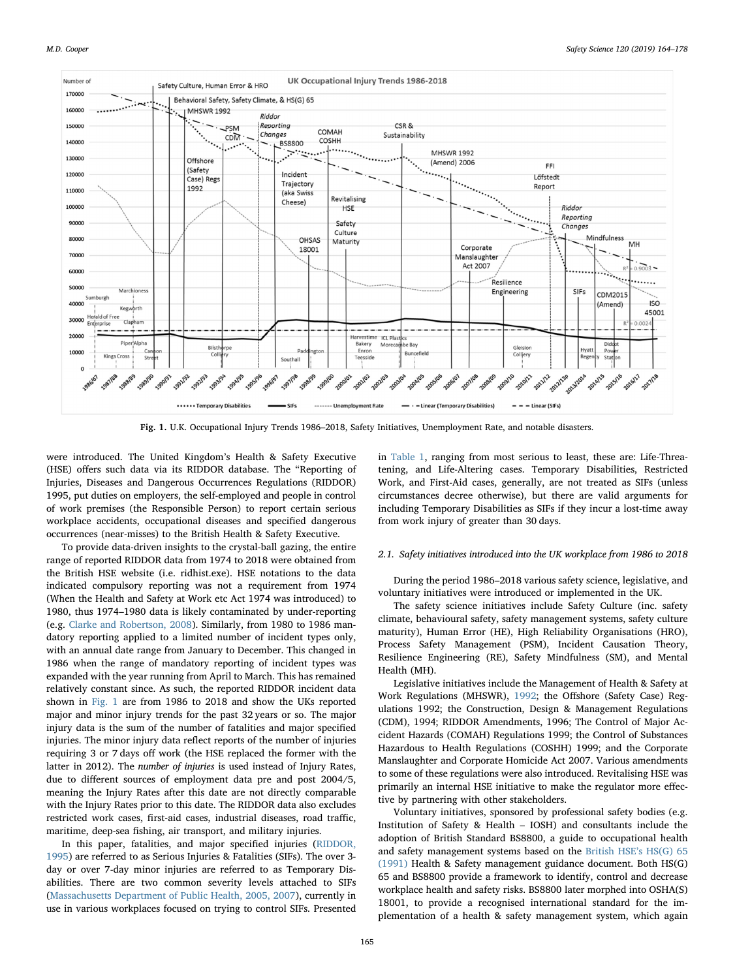<span id="page-1-0"></span>

Fig. 1. U.K. Occupational Injury Trends 1986–2018, Safety Initiatives, Unemployment Rate, and notable disasters.

were introduced. The United Kingdom's Health & Safety Executive (HSE) offers such data via its RIDDOR database. The "Reporting of Injuries, Diseases and Dangerous Occurrences Regulations (RIDDOR) 1995, put duties on employers, the self-employed and people in control of work premises (the Responsible Person) to report certain serious workplace accidents, occupational diseases and specified dangerous occurrences (near-misses) to the British Health & Safety Executive.

To provide data-driven insights to the crystal-ball gazing, the entire range of reported RIDDOR data from 1974 to 2018 were obtained from the British HSE website (i.e. ridhist.exe). HSE notations to the data indicated compulsory reporting was not a requirement from 1974 (When the Health and Safety at Work etc Act 1974 was introduced) to 1980, thus 1974–1980 data is likely contaminated by under-reporting (e.g. [Clarke and Robertson, 2008\)](#page-11-0). Similarly, from 1980 to 1986 mandatory reporting applied to a limited number of incident types only, with an annual date range from January to December. This changed in 1986 when the range of mandatory reporting of incident types was expanded with the year running from April to March. This has remained relatively constant since. As such, the reported RIDDOR incident data shown in [Fig. 1](#page-1-0) are from 1986 to 2018 and show the UKs reported major and minor injury trends for the past 32 years or so. The major injury data is the sum of the number of fatalities and major specified injuries. The minor injury data reflect reports of the number of injuries requiring 3 or 7 days off work (the HSE replaced the former with the latter in 2012). The number of injuries is used instead of Injury Rates, due to different sources of employment data pre and post 2004/5, meaning the Injury Rates after this date are not directly comparable with the Injury Rates prior to this date. The RIDDOR data also excludes restricted work cases, first-aid cases, industrial diseases, road traffic, maritime, deep-sea fishing, air transport, and military injuries.

In this paper, fatalities, and major specified injuries ([RIDDOR,](#page-13-2) [1995\)](#page-13-2) are referred to as Serious Injuries & Fatalities (SIFs). The over 3 day or over 7-day minor injuries are referred to as Temporary Disabilities. There are two common severity levels attached to SIFs ([Massachusetts Department of Public Health, 2005, 2007\)](#page-13-3), currently in use in various workplaces focused on trying to control SIFs. Presented

in [Table 1](#page-2-0), ranging from most serious to least, these are: Life-Threatening, and Life-Altering cases. Temporary Disabilities, Restricted Work, and First‐Aid cases, generally, are not treated as SIFs (unless circumstances decree otherwise), but there are valid arguments for including Temporary Disabilities as SIFs if they incur a lost-time away from work injury of greater than 30 days.

#### 2.1. Safety initiatives introduced into the UK workplace from 1986 to 2018

During the period 1986–2018 various safety science, legislative, and voluntary initiatives were introduced or implemented in the UK.

The safety science initiatives include Safety Culture (inc. safety climate, behavioural safety, safety management systems, safety culture maturity), Human Error (HE), High Reliability Organisations (HRO), Process Safety Management (PSM), Incident Causation Theory, Resilience Engineering (RE), Safety Mindfulness (SM), and Mental Health (MH).

Legislative initiatives include the Management of Health & Safety at Work Regulations (MHSWR), [1992;](#page-12-2) the Offshore (Safety Case) Regulations 1992; the Construction, Design & Management Regulations (CDM), 1994; RIDDOR Amendments, 1996; The Control of Major Accident Hazards (COMAH) Regulations 1999; the Control of Substances Hazardous to Health Regulations (COSHH) 1999; and the Corporate Manslaughter and Corporate Homicide Act 2007. Various amendments to some of these regulations were also introduced. Revitalising HSE was primarily an internal HSE initiative to make the regulator more effective by partnering with other stakeholders.

Voluntary initiatives, sponsored by professional safety bodies (e.g. Institution of Safety & Health – IOSH) and consultants include the adoption of British Standard BS8800, a guide to occupational health and safety management systems based on the [British HSE](#page-12-3)'s HS(G) 65 [\(1991\)](#page-12-3) Health & Safety management guidance document. Both HS(G) 65 and BS8800 provide a framework to identify, control and decrease workplace health and safety risks. BS8800 later morphed into OSHA(S) 18001, to provide a recognised international standard for the implementation of a health & safety management system, which again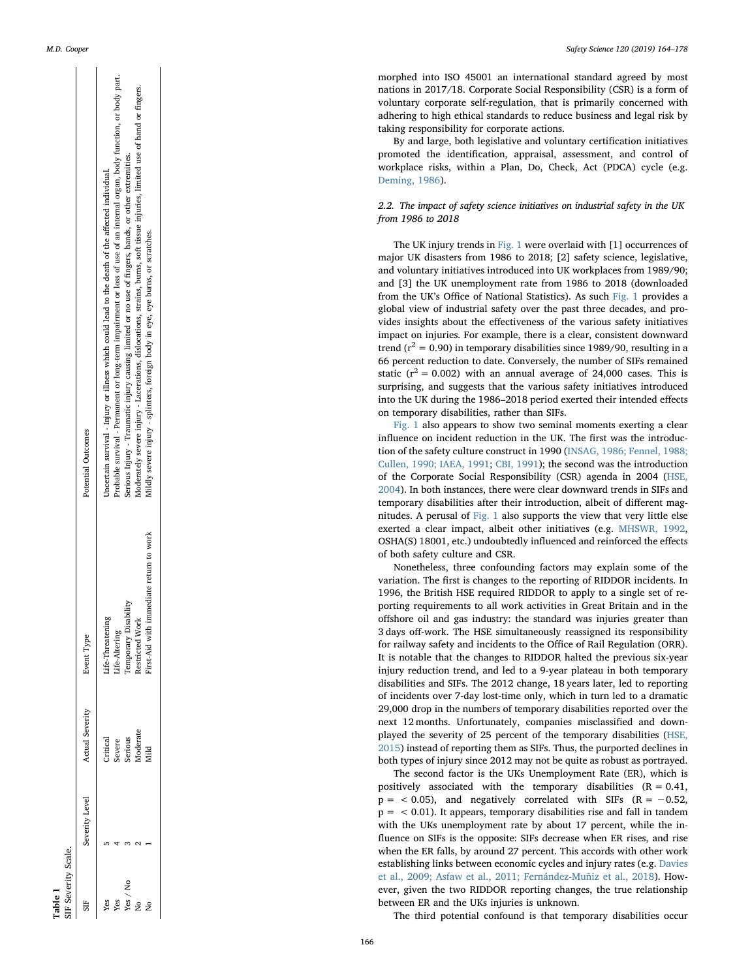|  |  | M.D. Cooper |
|--|--|-------------|
|--|--|-------------|

<span id="page-2-0"></span>

| SIF Severity Scale. |                |                               |                                            |                                                                                                                             |
|---------------------|----------------|-------------------------------|--------------------------------------------|-----------------------------------------------------------------------------------------------------------------------------|
|                     | Severity Level | Actual Severity<br>Event Type |                                            | Potential Outcomes                                                                                                          |
| Yes                 |                | Critical                      | .ife-Threatenir                            | Uncertain survival - Injury or illness which could lead to the death of the affected individual.                            |
|                     |                |                               | ife-Altering                               | Probable survival - Permanent or long-term impairment or loss of use of an internal organ, body function, or body part.     |
| Yes / No            |                | Severe<br>Serious             | emporary Disability                        | Serious Injury - Traumatic injury causing limited or no use of fingers, hands, or other extremities.                        |
|                     |                | Aoderate                      | estricted Work                             | Moderately severe injury - Lacerations, dislocations, strains, burns, soft tissue injuries, limited use of hand or fingers. |
|                     |                | d<br>∃ii                      | immediate return to work<br>Tirst-Aid with | Mildly severe injury - splinters, foreign body in eye, eye burns, or scratches.                                             |
|                     |                |                               |                                            |                                                                                                                             |

Table 1

morphed into ISO 45001 an international standard agreed by most nations in 2017/18. Corporate Social Responsibility (CSR) is a form of voluntary corporate self-regulation, that is primarily concerned with adhering to high ethical standards to reduce business and legal risk by taking responsibility for corporate actions.

By and large, both legislative and voluntary certi fication initiatives promoted the identi fication, appraisal, assessment, and control of workplace risks, within a Plan, Do, Check, Act (PDCA) cycle (e.g. [Deming, 1986\)](#page-12-4).

## 2.2. The impact of safety science initiatives on industrial safety in the UK from 1986 to 2018

The UK injury trends in [Fig. 1](#page-1-0) were overlaid with [1] occurrences of major UK disasters from 1986 to 2018; [2] safety science, legislative, and voluntary initiatives introduced into UK workplaces from 1989/90; and [3] the UK unemployment rate from 1986 to 2018 (downloaded from the UK 's O ffice of National Statistics). As such [Fig. 1](#page-1-0) provides a global view of industrial safety over the past three decades, and provides insights about the effectiveness of the various safety initiatives impact on injuries. For example, there is a clear, consistent downward trend ( $r^2$  = 0.90) in temporary disabilities since 1989/90, resulting in a 66 percent reduction to date. Conversely, the number of SIFs remained static ( $r^2 = 0.002$ ) with an annual average of 24,000 cases. This is surprising, and suggests that the various safety initiatives introduced into the UK during the 1986 –2018 period exerted their intended e ffects on temporary disabilities, rather than SIFs.

[Fig. 1](#page-1-0) also appears to show two seminal moments exerting a clear in fluence on incident reduction in the UK. The first was the introduction of the safety culture construct in 1990 [\(INSAG, 1986; Fennel, 1988;](#page-12-5) [Cullen, 1990; IAEA, 1991](#page-12-5); [CBI, 1991\)](#page-11-1); the second was the introduction of the Corporate Social Responsibility (CSR) agenda in 2004 ([HSE,](#page-12-6) [2004\)](#page-12-6). In both instances, there were clear downward trends in SIFs and temporary disabilities after their introduction, albeit of di fferent magnitudes. A perusal of [Fig. 1](#page-1-0) also supports the view that very little else exerted a clear impact, albeit other initiatives (e.g. [MHSWR, 1992](#page-12-2) , OSHA(S) 18001, etc.) undoubtedly in fluenced and reinforced the e ffects of both safety culture and CSR.

Nonetheless, three confounding factors may explain some of the variation. The first is changes to the reporting of RIDDOR incidents. In 1996, the British HSE required RIDDOR to apply to a single set of reporting requirements to all work activities in Great Britain and in the offshore oil and gas industry: the standard was injuries greater than 3 days o ff-work. The HSE simultaneously reassigned its responsibility for railway safety and incidents to the O ffice of Rail Regulation (ORR). It is notable that the changes to RIDDOR halted the previous six-year injury reduction trend, and led to a 9-year plateau in both temporary disabilities and SIFs. The 2012 change, 18 years later, led to reporting of incidents over 7-day lost-time only, which in turn led to a dramatic 29,000 drop in the numbers of temporary disabilities reported over the next 12 months. Unfortunately, companies misclassi fied and downplayed the severity of 25 percent of the temporary disabilities ([HSE,](#page-12-7) [2015\)](#page-12-7) instead of reporting them as SIFs. Thus, the purported declines in both types of injury since 2012 may not be quite as robust as portrayed.

The second factor is the UKs Unemployment Rate (ER), which is positively associated with the temporary disabilities  $(R = 0.41,$  $p =$  < 0.05), and negatively correlated with SIFs  $(R = -0.52,$  $p = < 0.01$ ). It appears, temporary disabilities rise and fall in tandem with the UKs unemployment rate by about 17 percent, while the in fluence on SIFs is the opposite: SIFs decrease when ER rises, and rise when the ER falls, by around 27 percent. This accords with other work establishing links between economic cycles and injury rates (e.g. [Davies](#page-12-8) [et al., 2009; Asfaw et al., 2011; Fernández-Muñiz et al., 2018](#page-12-8)). However, given the two RIDDOR reporting changes, the true relationship between ER and the UKs injuries is unknown.

The third potential confound is that temporary disabilities occur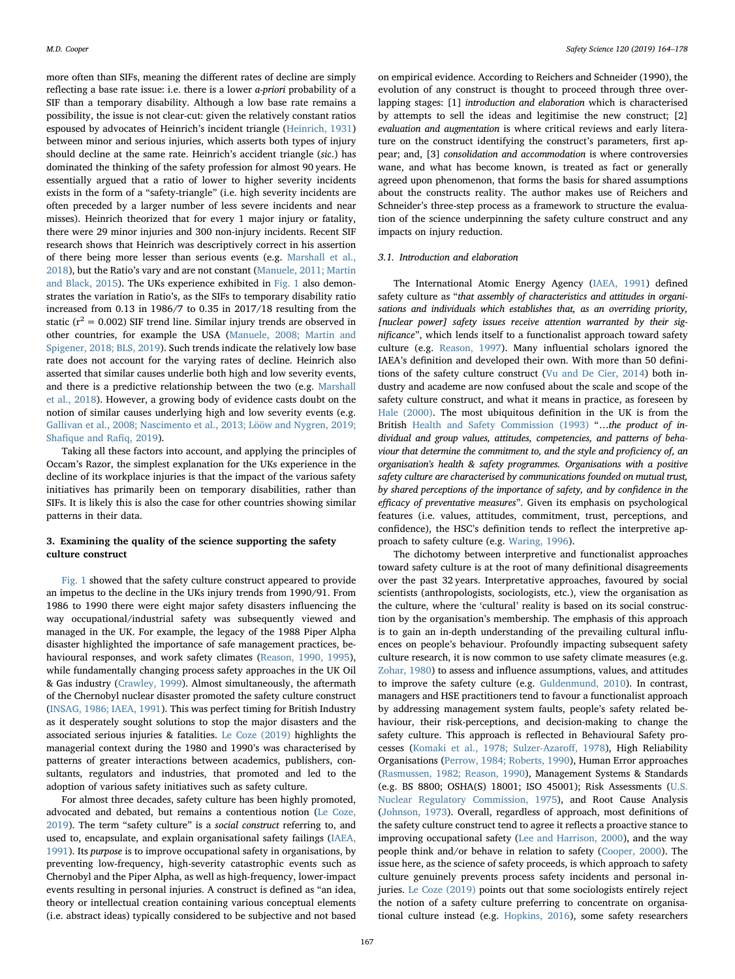more often than SIFs, meaning the different rates of decline are simply reflecting a base rate issue: i.e. there is a lower a-priori probability of a SIF than a temporary disability. Although a low base rate remains a possibility, the issue is not clear-cut: given the relatively constant ratios espoused by advocates of Heinrich's incident triangle [\(Heinrich, 1931\)](#page-12-9) between minor and serious injuries, which asserts both types of injury should decline at the same rate. Heinrich's accident triangle (sic.) has dominated the thinking of the safety profession for almost 90 years. He essentially argued that a ratio of lower to higher severity incidents exists in the form of a "safety-triangle" (i.e. high severity incidents are often preceded by a larger number of less severe incidents and near misses). Heinrich theorized that for every 1 major injury or fatality, there were 29 minor injuries and 300 non-injury incidents. Recent SIF research shows that Heinrich was descriptively correct in his assertion of there being more lesser than serious events (e.g. [Marshall et al.,](#page-13-4) [2018\)](#page-13-4), but the Ratio's vary and are not constant [\(Manuele, 2011; Martin](#page-13-5) [and Black, 2015\)](#page-13-5). The UKs experience exhibited in [Fig. 1](#page-1-0) also demonstrates the variation in Ratio's, as the SIFs to temporary disability ratio increased from 0.13 in 1986/7 to 0.35 in 2017/18 resulting from the static ( $r^2$  = 0.002) SIF trend line. Similar injury trends are observed in other countries, for example the USA [\(Manuele, 2008; Martin and](#page-13-6) [Spigener, 2018; BLS, 2019\)](#page-13-6). Such trends indicate the relatively low base rate does not account for the varying rates of decline. Heinrich also asserted that similar causes underlie both high and low severity events, and there is a predictive relationship between the two (e.g. [Marshall](#page-13-4) [et al., 2018](#page-13-4)). However, a growing body of evidence casts doubt on the notion of similar causes underlying high and low severity events (e.g. [Gallivan et al., 2008; Nascimento et al., 2013; Lööw and Nygren, 2019;](#page-12-10) Shafi[que and Ra](#page-12-10)fiq, 2019).

Taking all these factors into account, and applying the principles of Occam's Razor, the simplest explanation for the UKs experience in the decline of its workplace injuries is that the impact of the various safety initiatives has primarily been on temporary disabilities, rather than SIFs. It is likely this is also the case for other countries showing similar patterns in their data.

## 3. Examining the quality of the science supporting the safety culture construct

[Fig. 1](#page-1-0) showed that the safety culture construct appeared to provide an impetus to the decline in the UKs injury trends from 1990/91. From 1986 to 1990 there were eight major safety disasters influencing the way occupational/industrial safety was subsequently viewed and managed in the UK. For example, the legacy of the 1988 Piper Alpha disaster highlighted the importance of safe management practices, behavioural responses, and work safety climates [\(Reason, 1990, 1995](#page-13-7)), while fundamentally changing process safety approaches in the UK Oil & Gas industry ([Crawley, 1999](#page-11-2)). Almost simultaneously, the aftermath of the Chernobyl nuclear disaster promoted the safety culture construct ([INSAG, 1986; IAEA, 1991\)](#page-12-5). This was perfect timing for British Industry as it desperately sought solutions to stop the major disasters and the associated serious injuries & fatalities. [Le Coze \(2019\)](#page-12-11) highlights the managerial context during the 1980 and 1990's was characterised by patterns of greater interactions between academics, publishers, consultants, regulators and industries, that promoted and led to the adoption of various safety initiatives such as safety culture.

For almost three decades, safety culture has been highly promoted, advocated and debated, but remains a contentious notion ([Le Coze,](#page-12-11) [2019\)](#page-12-11). The term "safety culture" is a social construct referring to, and used to, encapsulate, and explain organisational safety failings [\(IAEA,](#page-12-12) [1991\)](#page-12-12). Its purpose is to improve occupational safety in organisations, by preventing low-frequency, high-severity catastrophic events such as Chernobyl and the Piper Alpha, as well as high-frequency, lower-impact events resulting in personal injuries. A construct is defined as "an idea, theory or intellectual creation containing various conceptual elements (i.e. abstract ideas) typically considered to be subjective and not based

on empirical evidence. According to Reichers and Schneider (1990), the evolution of any construct is thought to proceed through three overlapping stages: [1] introduction and elaboration which is characterised by attempts to sell the ideas and legitimise the new construct; [2] evaluation and augmentation is where critical reviews and early literature on the construct identifying the construct's parameters, first appear; and, [3] consolidation and accommodation is where controversies wane, and what has become known, is treated as fact or generally agreed upon phenomenon, that forms the basis for shared assumptions about the constructs reality. The author makes use of Reichers and Schneider's three-step process as a framework to structure the evaluation of the science underpinning the safety culture construct and any impacts on injury reduction.

## 3.1. Introduction and elaboration

The International Atomic Energy Agency ([IAEA, 1991\)](#page-12-12) defined safety culture as "that assembly of characteristics and attitudes in organisations and individuals which establishes that, as an overriding priority, [nuclear power] safety issues receive attention warranted by their significance", which lends itself to a functionalist approach toward safety culture (e.g. [Reason, 1997](#page-13-8)). Many influential scholars ignored the IAEA's definition and developed their own. With more than 50 definitions of the safety culture construct ([Vu and De Cier, 2014\)](#page-13-9) both industry and academe are now confused about the scale and scope of the safety culture construct, and what it means in practice, as foreseen by [Hale \(2000\).](#page-12-13) The most ubiquitous definition in the UK is from the British [Health and Safety Commission \(1993\)](#page-12-14) "...the product of individual and group values, attitudes, competencies, and patterns of behaviour that determine the commitment to, and the style and proficiency of, an organisation's health & safety programmes. Organisations with a positive safety culture are characterised by communications founded on mutual trust, by shared perceptions of the importance of safety, and by confidence in the efficacy of preventative measures". Given its emphasis on psychological features (i.e. values, attitudes, commitment, trust, perceptions, and confidence), the HSC's definition tends to reflect the interpretive approach to safety culture (e.g. [Waring, 1996\)](#page-13-10).

The dichotomy between interpretive and functionalist approaches toward safety culture is at the root of many definitional disagreements over the past 32 years. Interpretative approaches, favoured by social scientists (anthropologists, sociologists, etc.), view the organisation as the culture, where the 'cultural' reality is based on its social construction by the organisation's membership. The emphasis of this approach is to gain an in-depth understanding of the prevailing cultural influences on people's behaviour. Profoundly impacting subsequent safety culture research, it is now common to use safety climate measures (e.g. [Zohar, 1980\)](#page-14-0) to assess and influence assumptions, values, and attitudes to improve the safety culture (e.g. [Guldenmund, 2010](#page-12-15)). In contrast, managers and HSE practitioners tend to favour a functionalist approach by addressing management system faults, people's safety related behaviour, their risk-perceptions, and decision-making to change the safety culture. This approach is reflected in Behavioural Safety processes ([Komaki et al., 1978; Sulzer-Azaro](#page-12-16)ff, 1978), High Reliability Organisations [\(Perrow, 1984; Roberts, 1990\)](#page-13-11), Human Error approaches ([Rasmussen, 1982; Reason, 1990](#page-13-12)), Management Systems & Standards (e.g. BS 8800; OSHA(S) 18001; ISO 45001); Risk Assessments [\(U.S.](#page-13-13) [Nuclear Regulatory Commission, 1975\)](#page-13-13), and Root Cause Analysis ([Johnson, 1973](#page-12-17)). Overall, regardless of approach, most definitions of the safety culture construct tend to agree it reflects a proactive stance to improving occupational safety [\(Lee and Harrison, 2000](#page-12-18)), and the way people think and/or behave in relation to safety ([Cooper, 2000](#page-11-3)). The issue here, as the science of safety proceeds, is which approach to safety culture genuinely prevents process safety incidents and personal injuries. [Le Coze \(2019\)](#page-12-11) points out that some sociologists entirely reject the notion of a safety culture preferring to concentrate on organisational culture instead (e.g. [Hopkins, 2016\)](#page-12-19), some safety researchers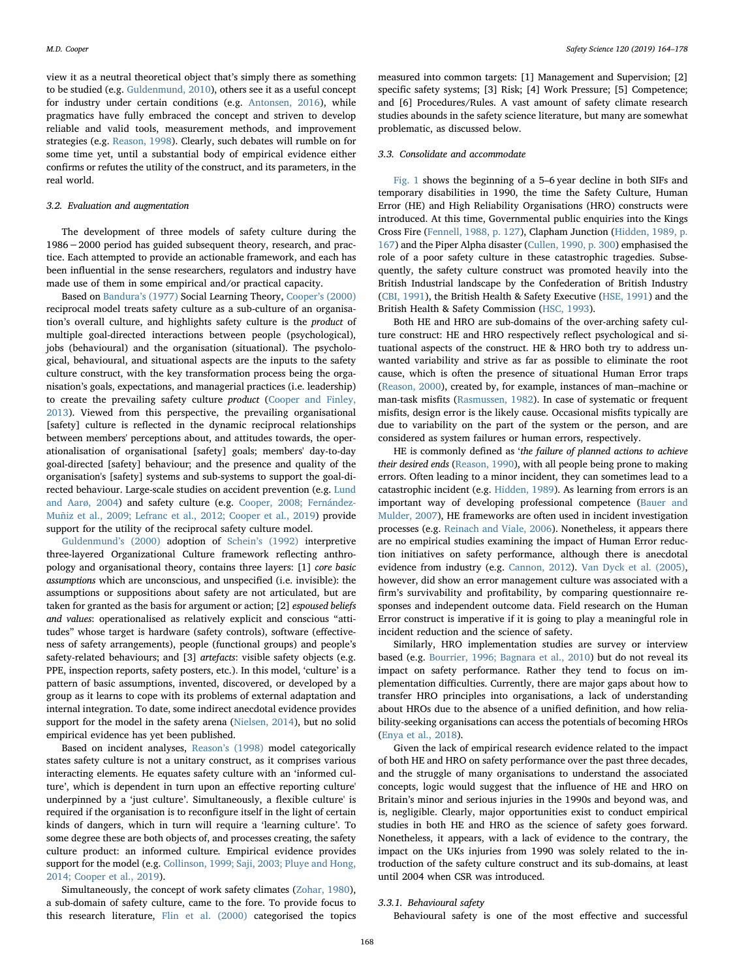view it as a neutral theoretical object that's simply there as something to be studied (e.g. [Guldenmund, 2010\)](#page-12-15), others see it as a useful concept for industry under certain conditions (e.g. [Antonsen, 2016](#page-11-4)), while pragmatics have fully embraced the concept and striven to develop reliable and valid tools, measurement methods, and improvement strategies (e.g. [Reason, 1998](#page-13-14)). Clearly, such debates will rumble on for some time yet, until a substantial body of empirical evidence either confirms or refutes the utility of the construct, and its parameters, in the real world.

## 3.2. Evaluation and augmentation

The development of three models of safety culture during the 1986−2000 period has guided subsequent theory, research, and practice. Each attempted to provide an actionable framework, and each has been influential in the sense researchers, regulators and industry have made use of them in some empirical and/or practical capacity.

Based on [Bandura](#page-11-5)'s (1977) Social Learning Theory, Cooper'[s \(2000\)](#page-11-3) reciprocal model treats safety culture as a sub-culture of an organisation's overall culture, and highlights safety culture is the product of multiple goal-directed interactions between people (psychological), jobs (behavioural) and the organisation (situational). The psychological, behavioural, and situational aspects are the inputs to the safety culture construct, with the key transformation process being the organisation's goals, expectations, and managerial practices (i.e. leadership) to create the prevailing safety culture *product* ([Cooper and Finley,](#page-11-6) [2013\)](#page-11-6). Viewed from this perspective, the prevailing organisational [safety] culture is reflected in the dynamic reciprocal relationships between members' perceptions about, and attitudes towards, the operationalisation of organisational [safety] goals; members' day-to-day goal-directed [safety] behaviour; and the presence and quality of the organisation's [safety] systems and sub-systems to support the goal-directed behaviour. Large-scale studies on accident prevention (e.g. [Lund](#page-13-15) [and Aarø, 2004\)](#page-13-15) and safety culture (e.g. [Cooper, 2008; Fernández-](#page-11-7)[Muñiz et al., 2009; Lefranc et al., 2012; Cooper et al., 2019\)](#page-11-7) provide support for the utility of the reciprocal safety culture model.

[Guldenmund](#page-12-20)'s (2000) adoption of Schein'[s \(1992\)](#page-13-16) interpretive three-layered Organizational Culture framework reflecting anthropology and organisational theory, contains three layers: [1] core basic assumptions which are unconscious, and unspecified (i.e. invisible): the assumptions or suppositions about safety are not articulated, but are taken for granted as the basis for argument or action; [2] espoused beliefs and values: operationalised as relatively explicit and conscious "attitudes" whose target is hardware (safety controls), software (effectiveness of safety arrangements), people (functional groups) and people's safety-related behaviours; and [3] artefacts: visible safety objects (e.g. PPE, inspection reports, safety posters, etc.). In this model, 'culture' is a pattern of basic assumptions, invented, discovered, or developed by a group as it learns to cope with its problems of external adaptation and internal integration. To date, some indirect anecdotal evidence provides support for the model in the safety arena ([Nielsen, 2014](#page-13-17)), but no solid empirical evidence has yet been published.

Based on incident analyses, Reason'[s \(1998\)](#page-13-14) model categorically states safety culture is not a unitary construct, as it comprises various interacting elements. He equates safety culture with an 'informed culture', which is dependent in turn upon an effective reporting culture' underpinned by a 'just culture'. Simultaneously, a flexible culture' is required if the organisation is to reconfigure itself in the light of certain kinds of dangers, which in turn will require a 'learning culture'. To some degree these are both objects of, and processes creating, the safety culture product: an informed culture. Empirical evidence provides support for the model (e.g. [Collinson, 1999; Saji, 2003; Pluye and Hong,](#page-11-8) [2014; Cooper et al., 2019](#page-11-8)).

Simultaneously, the concept of work safety climates [\(Zohar, 1980](#page-14-0)), a sub-domain of safety culture, came to the fore. To provide focus to this research literature, [Flin et al. \(2000\)](#page-12-21) categorised the topics measured into common targets: [1] Management and Supervision; [2] specific safety systems; [3] Risk; [4] Work Pressure; [5] Competence; and [6] Procedures/Rules. A vast amount of safety climate research studies abounds in the safety science literature, but many are somewhat problematic, as discussed below.

#### 3.3. Consolidate and accommodate

[Fig. 1](#page-1-0) shows the beginning of a 5–6 year decline in both SIFs and temporary disabilities in 1990, the time the Safety Culture, Human Error (HE) and High Reliability Organisations (HRO) constructs were introduced. At this time, Governmental public enquiries into the Kings Cross Fire ([Fennell, 1988, p. 127\)](#page-12-22), Clapham Junction [\(Hidden, 1989, p.](#page-12-23) [167](#page-12-23)) and the Piper Alpha disaster ([Cullen, 1990, p. 300\)](#page-11-9) emphasised the role of a poor safety culture in these catastrophic tragedies. Subsequently, the safety culture construct was promoted heavily into the British Industrial landscape by the Confederation of British Industry ([CBI, 1991\)](#page-11-1), the British Health & Safety Executive [\(HSE, 1991\)](#page-12-24) and the British Health & Safety Commission ([HSC, 1993\)](#page-12-14).

Both HE and HRO are sub-domains of the over-arching safety culture construct: HE and HRO respectively reflect psychological and situational aspects of the construct. HE & HRO both try to address unwanted variability and strive as far as possible to eliminate the root cause, which is often the presence of situational Human Error traps ([Reason,](#page-13-18) 2000), created by, for example, instances of man–machine or man-task misfits ([Rasmussen, 1982](#page-13-12)). In case of systematic or frequent misfits, design error is the likely cause. Occasional misfits typically are due to variability on the part of the system or the person, and are considered as system failures or human errors, respectively.

HE is commonly defined as 'the failure of planned actions to achieve their desired ends [\(Reason, 1990\)](#page-13-7), with all people being prone to making errors. Often leading to a minor incident, they can sometimes lead to a catastrophic incident (e.g. [Hidden, 1989](#page-12-23)). As learning from errors is an important way of developing professional competence [\(Bauer and](#page-11-10) [Mulder, 2007\)](#page-11-10), HE frameworks are often used in incident investigation processes (e.g. [Reinach and Viale, 2006](#page-13-19)). Nonetheless, it appears there are no empirical studies examining the impact of Human Error reduction initiatives on safety performance, although there is anecdotal evidence from industry (e.g. [Cannon, 2012\)](#page-11-11). [Van Dyck et al. \(2005\)](#page-13-20), however, did show an error management culture was associated with a firm's survivability and profitability, by comparing questionnaire responses and independent outcome data. Field research on the Human Error construct is imperative if it is going to play a meaningful role in incident reduction and the science of safety.

Similarly, HRO implementation studies are survey or interview based (e.g. [Bourrier, 1996; Bagnara et al., 2010](#page-11-12)) but do not reveal its impact on safety performance. Rather they tend to focus on implementation difficulties. Currently, there are major gaps about how to transfer HRO principles into organisations, a lack of understanding about HROs due to the absence of a unified definition, and how reliability-seeking organisations can access the potentials of becoming HROs ([Enya et al., 2018](#page-12-25)).

Given the lack of empirical research evidence related to the impact of both HE and HRO on safety performance over the past three decades, and the struggle of many organisations to understand the associated concepts, logic would suggest that the influence of HE and HRO on Britain's minor and serious injuries in the 1990s and beyond was, and is, negligible. Clearly, major opportunities exist to conduct empirical studies in both HE and HRO as the science of safety goes forward. Nonetheless, it appears, with a lack of evidence to the contrary, the impact on the UKs injuries from 1990 was solely related to the introduction of the safety culture construct and its sub-domains, at least until 2004 when CSR was introduced.

#### 3.3.1. Behavioural safety

Behavioural safety is one of the most effective and successful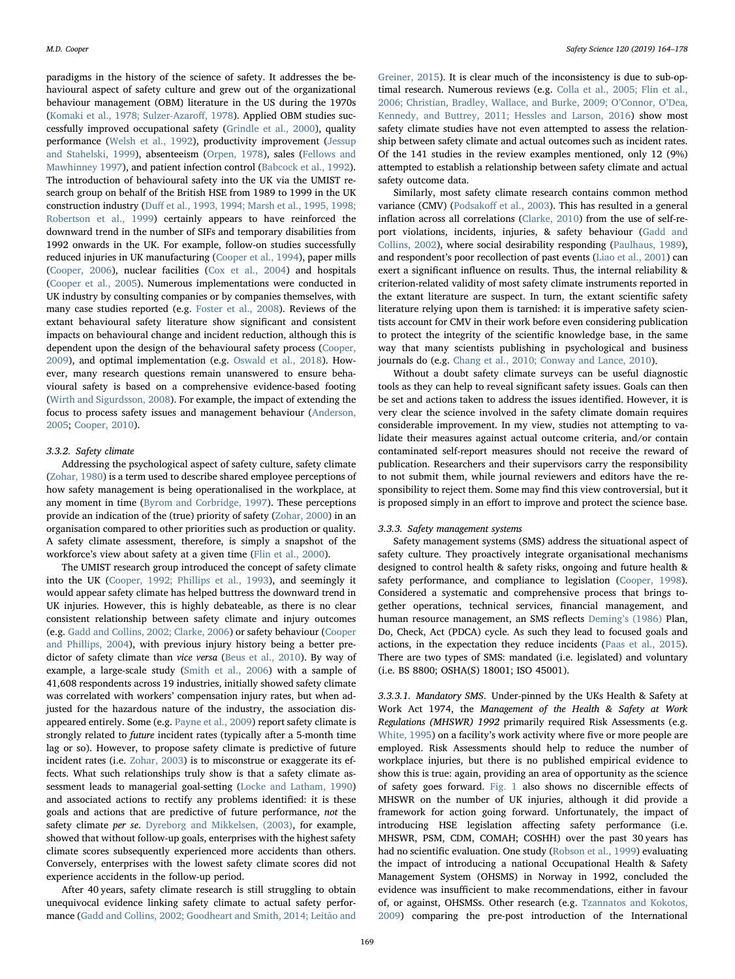paradigms in the history of the science of safety. It addresses the behavioural aspect of safety culture and grew out of the organizational behaviour management (OBM) literature in the US during the 1970s ([Komaki et al., 1978; Sulzer-Azaro](#page-12-16)ff, 1978). Applied OBM studies successfully improved occupational safety ([Grindle et al., 2000](#page-12-26)), quality performance ([Welsh et al., 1992](#page-13-21)), productivity improvement ([Jessup](#page-12-27) [and Stahelski, 1999\)](#page-12-27), absenteeism ([Orpen, 1978](#page-13-22)), sales [\(Fellows and](#page-12-28) [Mawhinney 1997](#page-12-28)), and patient infection control [\(Babcock et al., 1992](#page-11-13)). The introduction of behavioural safety into the UK via the UMIST research group on behalf of the British HSE from 1989 to 1999 in the UK construction industry (Duff [et al., 1993, 1994; Marsh et al., 1995, 1998;](#page-12-29) [Robertson et al., 1999\)](#page-12-29) certainly appears to have reinforced the downward trend in the number of SIFs and temporary disabilities from 1992 onwards in the UK. For example, follow-on studies successfully reduced injuries in UK manufacturing [\(Cooper et al., 1994](#page-11-14)), paper mills ([Cooper, 2006\)](#page-11-15), nuclear facilities ([Cox et al., 2004\)](#page-11-16) and hospitals ([Cooper et al., 2005](#page-11-17)). Numerous implementations were conducted in UK industry by consulting companies or by companies themselves, with many case studies reported (e.g. [Foster et al., 2008](#page-12-30)). Reviews of the extant behavioural safety literature show significant and consistent impacts on behavioural change and incident reduction, although this is dependent upon the design of the behavioural safety process [\(Cooper,](#page-11-18) [2009\)](#page-11-18), and optimal implementation (e.g. [Oswald et al., 2018](#page-13-23)). However, many research questions remain unanswered to ensure behavioural safety is based on a comprehensive evidence-based footing ([Wirth and Sigurdsson, 2008](#page-14-1)). For example, the impact of extending the focus to process safety issues and management behaviour ([Anderson,](#page-11-19) [2005;](#page-11-19) [Cooper, 2010](#page-11-20)).

## 3.3.2. Safety climate

Addressing the psychological aspect of safety culture, safety climate ([Zohar, 1980](#page-14-0)) is a term used to describe shared employee perceptions of how safety management is being operationalised in the workplace, at any moment in time ([Byrom and Corbridge, 1997\)](#page-11-21). These perceptions provide an indication of the (true) priority of safety [\(Zohar, 2000](#page-14-2)) in an organisation compared to other priorities such as production or quality. A safety climate assessment, therefore, is simply a snapshot of the workforce's view about safety at a given time [\(Flin et al., 2000\)](#page-12-21).

The UMIST research group introduced the concept of safety climate into the UK [\(Cooper, 1992; Phillips et al., 1993\)](#page-11-22), and seemingly it would appear safety climate has helped buttress the downward trend in UK injuries. However, this is highly debateable, as there is no clear consistent relationship between safety climate and injury outcomes (e.g. [Gadd and Collins, 2002; Clarke, 2006](#page-12-31)) or safety behaviour ([Cooper](#page-11-23) [and Phillips, 2004](#page-11-23)), with previous injury history being a better predictor of safety climate than vice versa [\(Beus et al., 2010\)](#page-11-24). By way of example, a large-scale study [\(Smith et al., 2006\)](#page-13-24) with a sample of 41,608 respondents across 19 industries, initially showed safety climate was correlated with workers' compensation injury rates, but when adjusted for the hazardous nature of the industry, the association disappeared entirely. Some (e.g. [Payne et al., 2009](#page-13-25)) report safety climate is strongly related to future incident rates (typically after a 5-month time lag or so). However, to propose safety climate is predictive of future incident rates (i.e. [Zohar, 2003\)](#page-14-3) is to misconstrue or exaggerate its effects. What such relationships truly show is that a safety climate assessment leads to managerial goal-setting [\(Locke and Latham, 1990\)](#page-13-26) and associated actions to rectify any problems identified: it is these goals and actions that are predictive of future performance, not the safety climate *per se*. [Dyreborg and Mikkelsen, \(2003\)](#page-12-32), for example, showed that without follow-up goals, enterprises with the highest safety climate scores subsequently experienced more accidents than others. Conversely, enterprises with the lowest safety climate scores did not experience accidents in the follow-up period.

After 40 years, safety climate research is still struggling to obtain unequivocal evidence linking safety climate to actual safety performance [\(Gadd and Collins, 2002; Goodheart and Smith, 2014; Leitão and](#page-12-31)

[Greiner, 2015](#page-12-31)). It is clear much of the inconsistency is due to sub-optimal research. Numerous reviews (e.g. [Colla et al., 2005; Flin et al.,](#page-11-25) [2006; Christian, Bradley, Wallace, and Burke, 2009; O](#page-11-25)'Connor, O'Dea, [Kennedy, and Buttrey, 2011; Hessles and Larson, 2016](#page-11-25)) show most safety climate studies have not even attempted to assess the relationship between safety climate and actual outcomes such as incident rates. Of the 141 studies in the review examples mentioned, only 12 (9%) attempted to establish a relationship between safety climate and actual safety outcome data.

Similarly, most safety climate research contains common method variance (CMV) (Podsakoff [et al., 2003](#page-13-27)). This has resulted in a general inflation across all correlations [\(Clarke, 2010](#page-11-26)) from the use of self-report violations, incidents, injuries, & safety behaviour ([Gadd and](#page-12-31) [Collins, 2002\)](#page-12-31), where social desirability responding [\(Paulhaus, 1989](#page-13-28)), and respondent's poor recollection of past events [\(Liao et al., 2001](#page-13-29)) can exert a significant influence on results. Thus, the internal reliability & criterion-related validity of most safety climate instruments reported in the extant literature are suspect. In turn, the extant scientific safety literature relying upon them is tarnished: it is imperative safety scientists account for CMV in their work before even considering publication to protect the integrity of the scientific knowledge base, in the same way that many scientists publishing in psychological and business journals do (e.g. [Chang et al., 2010; Conway and Lance, 2010](#page-11-27)).

Without a doubt safety climate surveys can be useful diagnostic tools as they can help to reveal significant safety issues. Goals can then be set and actions taken to address the issues identified. However, it is very clear the science involved in the safety climate domain requires considerable improvement. In my view, studies not attempting to validate their measures against actual outcome criteria, and/or contain contaminated self-report measures should not receive the reward of publication. Researchers and their supervisors carry the responsibility to not submit them, while journal reviewers and editors have the responsibility to reject them. Some may find this view controversial, but it is proposed simply in an effort to improve and protect the science base.

#### 3.3.3. Safety management systems

Safety management systems (SMS) address the situational aspect of safety culture. They proactively integrate organisational mechanisms designed to control health & safety risks, ongoing and future health & safety performance, and compliance to legislation [\(Cooper, 1998](#page-11-28)). Considered a systematic and comprehensive process that brings together operations, technical services, financial management, and human resource management, an SMS reflects Deming'[s \(1986\)](#page-12-4) Plan, Do, Check, Act (PDCA) cycle. As such they lead to focused goals and actions, in the expectation they reduce incidents ([Paas et al., 2015](#page-13-30)). There are two types of SMS: mandated (i.e. legislated) and voluntary (i.e. BS 8800; OSHA(S) 18001; ISO 45001).

3.3.3.1. Mandatory SMS. Under-pinned by the UKs Health & Safety at Work Act 1974, the Management of the Health & Safety at Work Regulations (MHSWR) 1992 primarily required Risk Assessments (e.g. [White, 1995\)](#page-14-4) on a facility's work activity where five or more people are employed. Risk Assessments should help to reduce the number of workplace injuries, but there is no published empirical evidence to show this is true: again, providing an area of opportunity as the science of safety goes forward. [Fig. 1](#page-1-0) also shows no discernible effects of MHSWR on the number of UK injuries, although it did provide a framework for action going forward. Unfortunately, the impact of introducing HSE legislation affecting safety performance (i.e. MHSWR, PSM, CDM, COMAH; COSHH) over the past 30 years has had no scientific evaluation. One study [\(Robson et al., 1999\)](#page-13-31) evaluating the impact of introducing a national Occupational Health & Safety Management System (OHSMS) in Norway in 1992, concluded the evidence was insufficient to make recommendations, either in favour of, or against, OHSMSs. Other research (e.g. [Tzannatos and Kokotos,](#page-13-32) [2009\)](#page-13-32) comparing the pre-post introduction of the International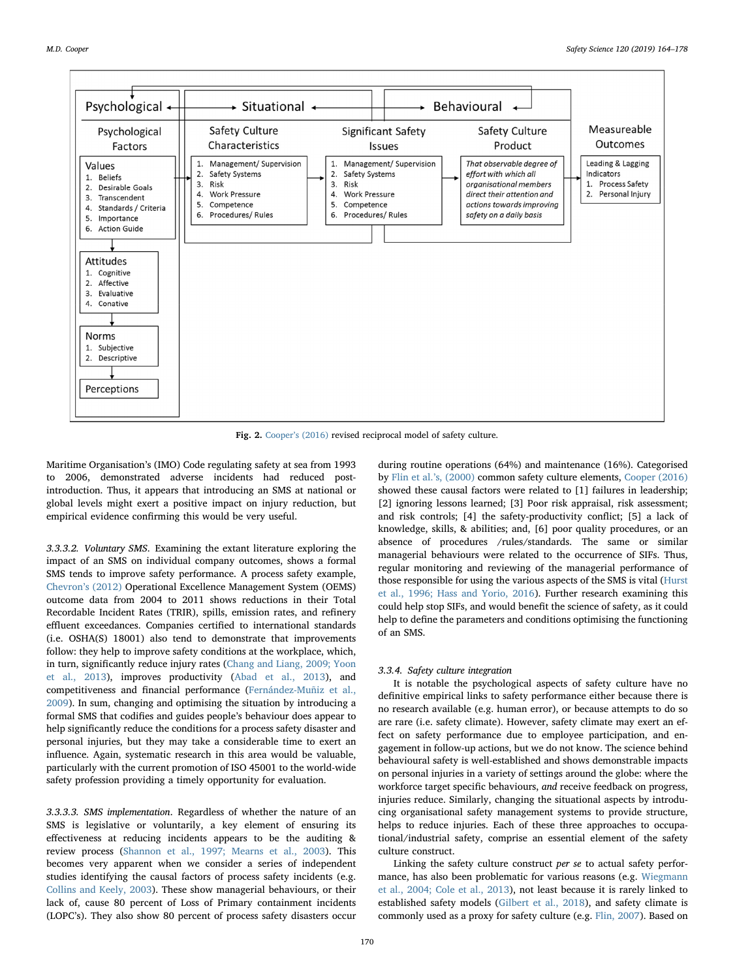<span id="page-6-0"></span>

Fig. 2. Cooper'[s \(2016\)](#page-11-33) revised reciprocal model of safety culture.

Maritime Organisation's (IMO) Code regulating safety at sea from 1993 to 2006, demonstrated adverse incidents had reduced postintroduction. Thus, it appears that introducing an SMS at national or global levels might exert a positive impact on injury reduction, but empirical evidence confirming this would be very useful.

3.3.3.2. Voluntary SMS. Examining the extant literature exploring the impact of an SMS on individual company outcomes, shows a formal SMS tends to improve safety performance. A process safety example, Chevron'[s \(2012\)](#page-11-29) Operational Excellence Management System (OEMS) outcome data from 2004 to 2011 shows reductions in their Total Recordable Incident Rates (TRIR), spills, emission rates, and refinery effluent exceedances. Companies certified to international standards (i.e. OSHA(S) 18001) also tend to demonstrate that improvements follow: they help to improve safety conditions at the workplace, which, in turn, significantly reduce injury rates ([Chang and Liang, 2009; Yoon](#page-11-30) [et al., 2013](#page-11-30)), improves productivity [\(Abad et al., 2013\)](#page-11-31), and competitiveness and financial performance ([Fernández-Muñiz et al.,](#page-12-33) [2009\)](#page-12-33). In sum, changing and optimising the situation by introducing a formal SMS that codifies and guides people's behaviour does appear to help significantly reduce the conditions for a process safety disaster and personal injuries, but they may take a considerable time to exert an influence. Again, systematic research in this area would be valuable, particularly with the current promotion of ISO 45001 to the world-wide safety profession providing a timely opportunity for evaluation.

3.3.3.3. SMS implementation. Regardless of whether the nature of an SMS is legislative or voluntarily, a key element of ensuring its effectiveness at reducing incidents appears to be the auditing & review process ([Shannon et al., 1997; Mearns et al., 2003\)](#page-13-33). This becomes very apparent when we consider a series of independent studies identifying the causal factors of process safety incidents (e.g. [Collins and Keely, 2003](#page-11-32)). These show managerial behaviours, or their lack of, cause 80 percent of Loss of Primary containment incidents (LOPC's). They also show 80 percent of process safety disasters occur

during routine operations (64%) and maintenance (16%). Categorised by [Flin et al.](#page-12-21)'s, (2000) common safety culture elements, [Cooper \(2016\)](#page-11-33) showed these causal factors were related to [1] failures in leadership; [2] ignoring lessons learned; [3] Poor risk appraisal, risk assessment: and risk controls; [4] the safety-productivity conflict; [5] a lack of knowledge, skills, & abilities; and, [6] poor quality procedures, or an absence of procedures /rules/standards. The same or similar managerial behaviours were related to the occurrence of SIFs. Thus, regular monitoring and reviewing of the managerial performance of those responsible for using the various aspects of the SMS is vital [\(Hurst](#page-12-34) [et al., 1996; Hass and Yorio, 2016](#page-12-34)). Further research examining this could help stop SIFs, and would benefit the science of safety, as it could help to define the parameters and conditions optimising the functioning of an SMS.

#### 3.3.4. Safety culture integration

It is notable the psychological aspects of safety culture have no definitive empirical links to safety performance either because there is no research available (e.g. human error), or because attempts to do so are rare (i.e. safety climate). However, safety climate may exert an effect on safety performance due to employee participation, and engagement in follow-up actions, but we do not know. The science behind behavioural safety is well-established and shows demonstrable impacts on personal injuries in a variety of settings around the globe: where the workforce target specific behaviours, and receive feedback on progress, injuries reduce. Similarly, changing the situational aspects by introducing organisational safety management systems to provide structure, helps to reduce injuries. Each of these three approaches to occupational/industrial safety, comprise an essential element of the safety culture construct.

Linking the safety culture construct per se to actual safety performance, has also been problematic for various reasons (e.g. [Wiegmann](#page-13-34) [et al., 2004; Cole et al., 2013\)](#page-13-34), not least because it is rarely linked to established safety models [\(Gilbert et al., 2018](#page-12-35)), and safety climate is commonly used as a proxy for safety culture (e.g. [Flin, 2007\)](#page-12-36). Based on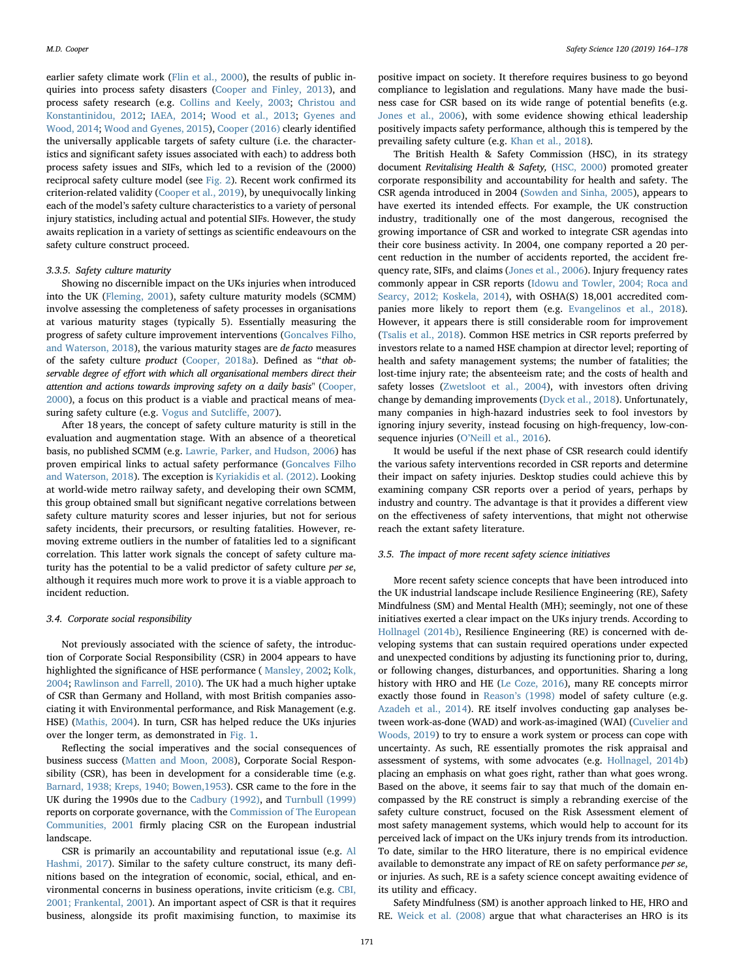earlier safety climate work [\(Flin et al., 2000\)](#page-12-21), the results of public inquiries into process safety disasters ([Cooper and Finley, 2013\)](#page-11-6), and process safety research (e.g. [Collins and Keely, 2003](#page-11-32); [Christou and](#page-11-34) [Konstantinidou, 2012;](#page-11-34) [IAEA, 2014;](#page-12-37) [Wood et al., 2013;](#page-14-5) [Gyenes and](#page-12-38) [Wood, 2014](#page-12-38); [Wood and Gyenes, 2015](#page-14-6)), [Cooper \(2016\)](#page-11-33) clearly identified the universally applicable targets of safety culture (i.e. the characteristics and significant safety issues associated with each) to address both process safety issues and SIFs, which led to a revision of the (2000) reciprocal safety culture model (see [Fig. 2](#page-6-0)). Recent work confirmed its criterion-related validity ([Cooper et al., 2019\)](#page-11-35), by unequivocally linking each of the model's safety culture characteristics to a variety of personal injury statistics, including actual and potential SIFs. However, the study awaits replication in a variety of settings as scientific endeavours on the safety culture construct proceed.

## 3.3.5. Safety culture maturity

Showing no discernible impact on the UKs injuries when introduced into the UK ([Fleming, 2001\)](#page-12-39), safety culture maturity models (SCMM) involve assessing the completeness of safety processes in organisations at various maturity stages (typically 5). Essentially measuring the progress of safety culture improvement interventions [\(Goncalves Filho,](#page-12-40) [and Waterson, 2018\)](#page-12-40), the various maturity stages are de facto measures of the safety culture product ([Cooper, 2018a](#page-11-36)). Defined as "that observable degree of effort with which all organisational members direct their attention and actions towards improving safety on a daily basis" [\(Cooper,](#page-11-3) [2000\)](#page-11-3), a focus on this product is a viable and practical means of measuring safety culture (e.g. [Vogus and Sutcli](#page-13-35)ffe, 2007).

After 18 years, the concept of safety culture maturity is still in the evaluation and augmentation stage. With an absence of a theoretical basis, no published SCMM (e.g. [Lawrie, Parker, and Hudson, 2006\)](#page-12-41) has proven empirical links to actual safety performance ([Goncalves Filho](#page-12-40) [and Waterson, 2018](#page-12-40)). The exception is [Kyriakidis et al. \(2012\)](#page-12-42). Looking at world-wide metro railway safety, and developing their own SCMM, this group obtained small but significant negative correlations between safety culture maturity scores and lesser injuries, but not for serious safety incidents, their precursors, or resulting fatalities. However, removing extreme outliers in the number of fatalities led to a significant correlation. This latter work signals the concept of safety culture maturity has the potential to be a valid predictor of safety culture per se, although it requires much more work to prove it is a viable approach to incident reduction.

#### 3.4. Corporate social responsibility

Not previously associated with the science of safety, the introduction of Corporate Social Responsibility (CSR) in 2004 appears to have highlighted the significance of HSE performance ( [Mansley, 2002](#page-13-36); [Kolk,](#page-12-43) [2004;](#page-12-43) [Rawlinson and Farrell, 2010](#page-13-37)). The UK had a much higher uptake of CSR than Germany and Holland, with most British companies associating it with Environmental performance, and Risk Management (e.g. HSE) [\(Mathis, 2004](#page-13-38)). In turn, CSR has helped reduce the UKs injuries over the longer term, as demonstrated in [Fig. 1.](#page-1-0)

Reflecting the social imperatives and the social consequences of business success ([Matten and Moon, 2008\)](#page-13-39), Corporate Social Responsibility (CSR), has been in development for a considerable time (e.g. [Barnard, 1938; Kreps, 1940; Bowen,1953\)](#page-11-37). CSR came to the fore in the UK during the 1990s due to the [Cadbury \(1992\),](#page-11-38) and [Turnbull \(1999\)](#page-13-40) reports on corporate governance, with the [Commission of The European](#page-11-39) [Communities, 2001](#page-11-39) firmly placing CSR on the European industrial landscape.

CSR is primarily an accountability and reputational issue (e.g. [Al](#page-11-40) [Hashmi, 2017\)](#page-11-40). Similar to the safety culture construct, its many definitions based on the integration of economic, social, ethical, and environmental concerns in business operations, invite criticism (e.g. [CBI,](#page-11-41) [2001; Frankental, 2001\)](#page-11-41). An important aspect of CSR is that it requires business, alongside its profit maximising function, to maximise its

positive impact on society. It therefore requires business to go beyond compliance to legislation and regulations. Many have made the business case for CSR based on its wide range of potential benefits (e.g. [Jones et al., 2006\)](#page-12-44), with some evidence showing ethical leadership positively impacts safety performance, although this is tempered by the prevailing safety culture (e.g. [Khan et al., 2018\)](#page-12-45).

The British Health & Safety Commission (HSC), in its strategy document Revitalising Health & Safety, [\(HSC, 2000\)](#page-12-46) promoted greater corporate responsibility and accountability for health and safety. The CSR agenda introduced in 2004 ([Sowden and Sinha, 2005](#page-13-41)), appears to have exerted its intended effects. For example, the UK construction industry, traditionally one of the most dangerous, recognised the growing importance of CSR and worked to integrate CSR agendas into their core business activity. In 2004, one company reported a 20 percent reduction in the number of accidents reported, the accident frequency rate, SIFs, and claims [\(Jones et al., 2006](#page-12-44)). Injury frequency rates commonly appear in CSR reports ([Idowu and Towler, 2004; Roca and](#page-12-47) [Searcy, 2012; Koskela, 2014\)](#page-12-47), with OSHA(S) 18,001 accredited companies more likely to report them (e.g. [Evangelinos et al., 2018](#page-12-48)). However, it appears there is still considerable room for improvement ([Tsalis et al., 2018\)](#page-13-42). Common HSE metrics in CSR reports preferred by investors relate to a named HSE champion at director level; reporting of health and safety management systems; the number of fatalities; the lost-time injury rate; the absenteeism rate; and the costs of health and safety losses ([Zwetsloot et al., 2004](#page-14-7)), with investors often driving change by demanding improvements [\(Dyck et al., 2018](#page-12-49)). Unfortunately, many companies in high-hazard industries seek to fool investors by ignoring injury severity, instead focusing on high-frequency, low-consequence injuries (O'[Neill et al., 2016](#page-13-43)).

It would be useful if the next phase of CSR research could identify the various safety interventions recorded in CSR reports and determine their impact on safety injuries. Desktop studies could achieve this by examining company CSR reports over a period of years, perhaps by industry and country. The advantage is that it provides a different view on the effectiveness of safety interventions, that might not otherwise reach the extant safety literature.

#### 3.5. The impact of more recent safety science initiatives

More recent safety science concepts that have been introduced into the UK industrial landscape include Resilience Engineering (RE), Safety Mindfulness (SM) and Mental Health (MH); seemingly, not one of these initiatives exerted a clear impact on the UKs injury trends. According to [Hollnagel \(2014b\)](#page-12-50), Resilience Engineering (RE) is concerned with developing systems that can sustain required operations under expected and unexpected conditions by adjusting its functioning prior to, during, or following changes, disturbances, and opportunities. Sharing a long history with HRO and HE ([Le Coze, 2016](#page-12-51)), many RE concepts mirror exactly those found in Reason'[s \(1998\)](#page-13-14) model of safety culture (e.g. [Azadeh et al., 2014\)](#page-11-42). RE itself involves conducting gap analyses between work-as-done (WAD) and work-as-imagined (WAI) ([Cuvelier and](#page-11-43) [Woods, 2019](#page-11-43)) to try to ensure a work system or process can cope with uncertainty. As such, RE essentially promotes the risk appraisal and assessment of systems, with some advocates (e.g. [Hollnagel, 2014b\)](#page-12-50) placing an emphasis on what goes right, rather than what goes wrong. Based on the above, it seems fair to say that much of the domain encompassed by the RE construct is simply a rebranding exercise of the safety culture construct, focused on the Risk Assessment element of most safety management systems, which would help to account for its perceived lack of impact on the UKs injury trends from its introduction. To date, similar to the HRO literature, there is no empirical evidence available to demonstrate any impact of RE on safety performance per se, or injuries. As such, RE is a safety science concept awaiting evidence of its utility and efficacy.

Safety Mindfulness (SM) is another approach linked to HE, HRO and RE. [Weick et al. \(2008\)](#page-13-44) argue that what characterises an HRO is its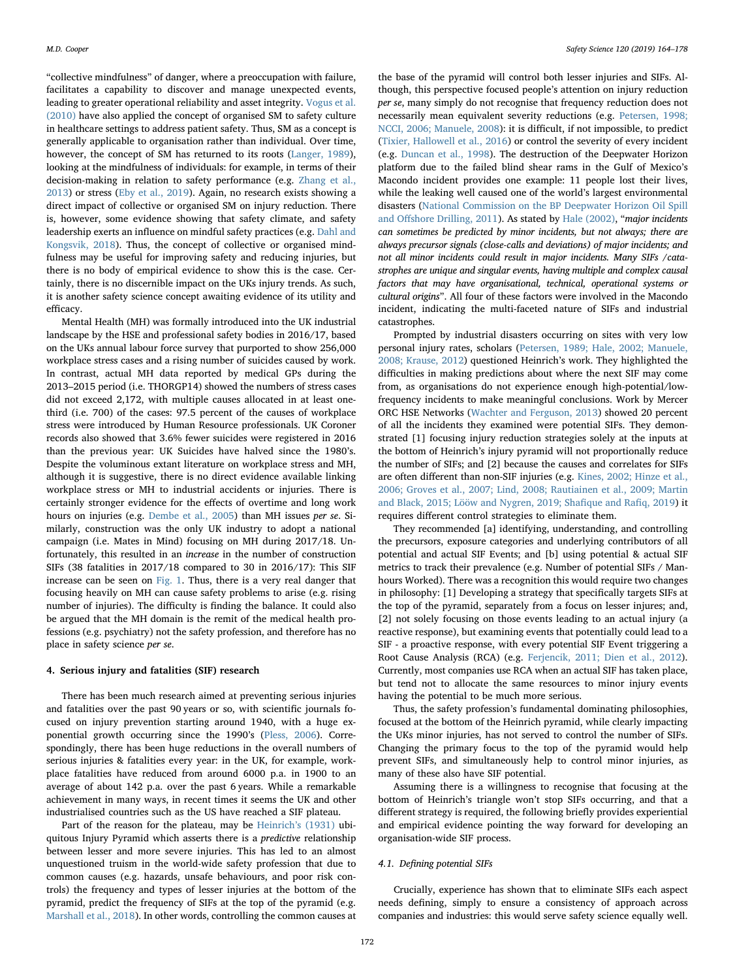"collective mindfulness" of danger, where a preoccupation with failure, facilitates a capability to discover and manage unexpected events, leading to greater operational reliability and asset integrity. [Vogus et al.](#page-13-45) [\(2010\)](#page-13-45) have also applied the concept of organised SM to safety culture in healthcare settings to address patient safety. Thus, SM as a concept is generally applicable to organisation rather than individual. Over time, however, the concept of SM has returned to its roots [\(Langer, 1989](#page-12-52)), looking at the mindfulness of individuals: for example, in terms of their decision-making in relation to safety performance (e.g. [Zhang et al.,](#page-14-8) [2013\)](#page-14-8) or stress [\(Eby et al., 2019](#page-12-53)). Again, no research exists showing a direct impact of collective or organised SM on injury reduction. There is, however, some evidence showing that safety climate, and safety leadership exerts an influence on mindful safety practices (e.g. [Dahl and](#page-12-54) [Kongsvik, 2018\)](#page-12-54). Thus, the concept of collective or organised mindfulness may be useful for improving safety and reducing injuries, but there is no body of empirical evidence to show this is the case. Certainly, there is no discernible impact on the UKs injury trends. As such, it is another safety science concept awaiting evidence of its utility and efficacy.

Mental Health (MH) was formally introduced into the UK industrial landscape by the HSE and professional safety bodies in 2016/17, based on the UKs annual labour force survey that purported to show 256,000 workplace stress cases and a rising number of suicides caused by work. In contrast, actual MH data reported by medical GPs during the 2013–2015 period (i.e. THORGP14) showed the numbers of stress cases did not exceed 2,172, with multiple causes allocated in at least onethird (i.e. 700) of the cases: 97.5 percent of the causes of workplace stress were introduced by Human Resource professionals. UK Coroner records also showed that 3.6% fewer suicides were registered in 2016 than the previous year: UK Suicides have halved since the 1980's. Despite the voluminous extant literature on workplace stress and MH, although it is suggestive, there is no direct evidence available linking workplace stress or MH to industrial accidents or injuries. There is certainly stronger evidence for the effects of overtime and long work hours on injuries (e.g. [Dembe et al., 2005\)](#page-12-55) than MH issues per se. Similarly, construction was the only UK industry to adopt a national campaign (i.e. Mates in Mind) focusing on MH during 2017/18. Unfortunately, this resulted in an increase in the number of construction SIFs (38 fatalities in 2017/18 compared to 30 in 2016/17): This SIF increase can be seen on [Fig. 1](#page-1-0). Thus, there is a very real danger that focusing heavily on MH can cause safety problems to arise (e.g. rising number of injuries). The difficulty is finding the balance. It could also be argued that the MH domain is the remit of the medical health professions (e.g. psychiatry) not the safety profession, and therefore has no place in safety science per se.

#### 4. Serious injury and fatalities (SIF) research

There has been much research aimed at preventing serious injuries and fatalities over the past 90 years or so, with scientific journals focused on injury prevention starting around 1940, with a huge exponential growth occurring since the 1990's [\(Pless, 2006](#page-13-46)). Correspondingly, there has been huge reductions in the overall numbers of serious injuries & fatalities every year: in the UK, for example, workplace fatalities have reduced from around 6000 p.a. in 1900 to an average of about 142 p.a. over the past 6 years. While a remarkable achievement in many ways, in recent times it seems the UK and other industrialised countries such as the US have reached a SIF plateau.

Part of the reason for the plateau, may be [Heinrich](#page-12-9)'s (1931) ubiquitous Injury Pyramid which asserts there is a predictive relationship between lesser and more severe injuries. This has led to an almost unquestioned truism in the world-wide safety profession that due to common causes (e.g. hazards, unsafe behaviours, and poor risk controls) the frequency and types of lesser injuries at the bottom of the pyramid, predict the frequency of SIFs at the top of the pyramid (e.g. [Marshall et al., 2018](#page-13-4)). In other words, controlling the common causes at

the base of the pyramid will control both lesser injuries and SIFs. Although, this perspective focused people's attention on injury reduction per se, many simply do not recognise that frequency reduction does not necessarily mean equivalent severity reductions (e.g. [Petersen, 1998;](#page-13-47) [NCCI, 2006; Manuele, 2008\)](#page-13-47): it is difficult, if not impossible, to predict ([Tixier, Hallowell et al., 2016](#page-13-48)) or control the severity of every incident (e.g. [Duncan et al., 1998\)](#page-12-56). The destruction of the Deepwater Horizon platform due to the failed blind shear rams in the Gulf of Mexico's Macondo incident provides one example: 11 people lost their lives, while the leaking well caused one of the world's largest environmental disasters [\(National Commission on the BP Deepwater Horizon Oil Spill](#page-13-49) and Off[shore Drilling, 2011\)](#page-13-49). As stated by [Hale \(2002\),](#page-12-57) "major incidents can sometimes be predicted by minor incidents, but not always; there are always precursor signals (close-calls and deviations) of major incidents; and not all minor incidents could result in major incidents. Many SIFs /catastrophes are unique and singular events, having multiple and complex causal factors that may have organisational, technical, operational systems or cultural origins". All four of these factors were involved in the Macondo incident, indicating the multi-faceted nature of SIFs and industrial catastrophes.

Prompted by industrial disasters occurring on sites with very low personal injury rates, scholars [\(Petersen, 1989; Hale, 2002; Manuele,](#page-13-50) [2008; Krause, 2012\)](#page-13-50) questioned Heinrich's work. They highlighted the difficulties in making predictions about where the next SIF may come from, as organisations do not experience enough high-potential/lowfrequency incidents to make meaningful conclusions. Work by Mercer ORC HSE Networks ([Wachter and Ferguson, 2013\)](#page-13-51) showed 20 percent of all the incidents they examined were potential SIFs. They demonstrated [1] focusing injury reduction strategies solely at the inputs at the bottom of Heinrich's injury pyramid will not proportionally reduce the number of SIFs; and [2] because the causes and correlates for SIFs are often different than non-SIF injuries (e.g. [Kines, 2002; Hinze et al.,](#page-12-58) [2006; Groves et al., 2007; Lind, 2008; Rautiainen et al., 2009; Martin](#page-12-58) [and Black, 2015; Lööw and Nygren, 2019; Sha](#page-12-58)fique and Rafiq, 2019) it requires different control strategies to eliminate them.

They recommended [a] identifying, understanding, and controlling the precursors, exposure categories and underlying contributors of all potential and actual SIF Events; and [b] using potential & actual SIF metrics to track their prevalence (e.g. Number of potential SIFs / Manhours Worked). There was a recognition this would require two changes in philosophy: [1] Developing a strategy that specifically targets SIFs at the top of the pyramid, separately from a focus on lesser injures; and, [2] not solely focusing on those events leading to an actual injury (a reactive response), but examining events that potentially could lead to a SIF - a proactive response, with every potential SIF Event triggering a Root Cause Analysis (RCA) (e.g. [Ferjencik, 2011; Dien et al., 2012](#page-12-59)). Currently, most companies use RCA when an actual SIF has taken place, but tend not to allocate the same resources to minor injury events having the potential to be much more serious.

Thus, the safety profession's fundamental dominating philosophies, focused at the bottom of the Heinrich pyramid, while clearly impacting the UKs minor injuries, has not served to control the number of SIFs. Changing the primary focus to the top of the pyramid would help prevent SIFs, and simultaneously help to control minor injuries, as many of these also have SIF potential.

Assuming there is a willingness to recognise that focusing at the bottom of Heinrich's triangle won't stop SIFs occurring, and that a different strategy is required, the following briefly provides experiential and empirical evidence pointing the way forward for developing an organisation-wide SIF process.

#### 4.1. Defining potential SIFs

Crucially, experience has shown that to eliminate SIFs each aspect needs defining, simply to ensure a consistency of approach across companies and industries: this would serve safety science equally well.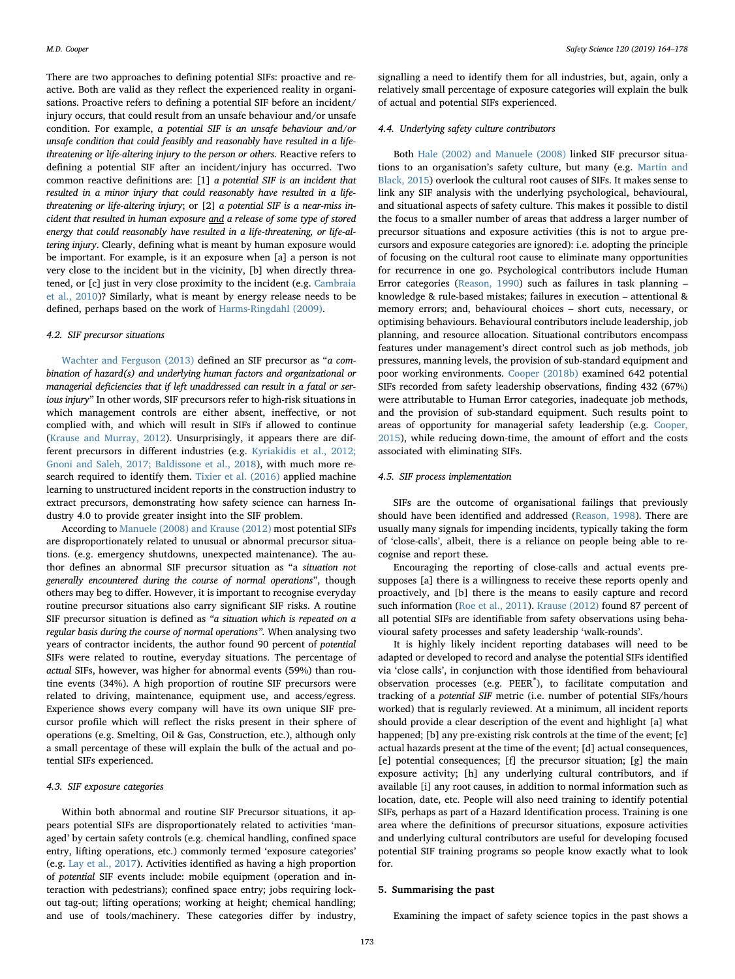There are two approaches to defining potential SIFs: proactive and reactive. Both are valid as they reflect the experienced reality in organisations. Proactive refers to defining a potential SIF before an incident/ injury occurs, that could result from an unsafe behaviour and/or unsafe condition. For example, a potential SIF is an unsafe behaviour and/or unsafe condition that could feasibly and reasonably have resulted in a lifethreatening or life-altering injury to the person or others. Reactive refers to defining a potential SIF after an incident/injury has occurred. Two common reactive definitions are: [1] a potential SIF is an incident that resulted in a minor injury that could reasonably have resulted in a lifethreatening or life-altering injury; or [2] a potential SIF is a near-miss incident that resulted in human exposure and a release of some type of stored energy that could reasonably have resulted in a life-threatening, or life-altering injury. Clearly, defining what is meant by human exposure would be important. For example, is it an exposure when [a] a person is not very close to the incident but in the vicinity, [b] when directly threatened, or [c] just in very close proximity to the incident (e.g. [Cambraia](#page-11-44) [et al., 2010](#page-11-44))? Similarly, what is meant by energy release needs to be defined, perhaps based on the work of [Harms-Ringdahl \(2009\)](#page-12-60).

#### 4.2. SIF precursor situations

[Wachter and Ferguson \(2013\)](#page-13-51) defined an SIF precursor as "a combination of hazard(s) and underlying human factors and organizational or managerial deficiencies that if left unaddressed can result in a fatal or serious injury" In other words, SIF precursors refer to high-risk situations in which management controls are either absent, ineffective, or not complied with, and which will result in SIFs if allowed to continue ([Krause and Murray, 2012](#page-12-61)). Unsurprisingly, it appears there are different precursors in different industries (e.g. [Kyriakidis et al., 2012;](#page-12-42) [Gnoni and Saleh, 2017; Baldissone et al., 2018\)](#page-12-42), with much more research required to identify them. [Tixier et al. \(2016\)](#page-13-48) applied machine learning to unstructured incident reports in the construction industry to extract precursors, demonstrating how safety science can harness Industry 4.0 to provide greater insight into the SIF problem.

According to [Manuele \(2008\) and Krause \(2012\)](#page-13-6) most potential SIFs are disproportionately related to unusual or abnormal precursor situations. (e.g. emergency shutdowns, unexpected maintenance). The author defines an abnormal SIF precursor situation as "a situation not generally encountered during the course of normal operations", though others may beg to differ. However, it is important to recognise everyday routine precursor situations also carry significant SIF risks. A routine SIF precursor situation is defined as "a situation which is repeated on a regular basis during the course of normal operations". When analysing two years of contractor incidents, the author found 90 percent of potential SIFs were related to routine, everyday situations. The percentage of actual SIFs, however, was higher for abnormal events (59%) than routine events (34%). A high proportion of routine SIF precursors were related to driving, maintenance, equipment use, and access/egress. Experience shows every company will have its own unique SIF precursor profile which will reflect the risks present in their sphere of operations (e.g. Smelting, Oil & Gas, Construction, etc.), although only a small percentage of these will explain the bulk of the actual and potential SIFs experienced.

#### 4.3. SIF exposure categories

Within both abnormal and routine SIF Precursor situations, it appears potential SIFs are disproportionately related to activities 'managed' by certain safety controls (e.g. chemical handling, confined space entry, lifting operations, etc.) commonly termed 'exposure categories' (e.g. [Lay et al., 2017\)](#page-12-62). Activities identified as having a high proportion of potential SIF events include: mobile equipment (operation and interaction with pedestrians); confined space entry; jobs requiring lockout tag-out; lifting operations; working at height; chemical handling; and use of tools/machinery. These categories differ by industry,

signalling a need to identify them for all industries, but, again, only a relatively small percentage of exposure categories will explain the bulk of actual and potential SIFs experienced.

#### 4.4. Underlying safety culture contributors

Both [Hale \(2002\) and Manuele \(2008\)](#page-12-57) linked SIF precursor situations to an organisation's safety culture, but many (e.g. [Martin and](#page-13-52) [Black, 2015](#page-13-52)) overlook the cultural root causes of SIFs. It makes sense to link any SIF analysis with the underlying psychological, behavioural, and situational aspects of safety culture. This makes it possible to distil the focus to a smaller number of areas that address a larger number of precursor situations and exposure activities (this is not to argue precursors and exposure categories are ignored): i.e. adopting the principle of focusing on the cultural root cause to eliminate many opportunities for recurrence in one go. Psychological contributors include Human Error categories ([Reason, 1990\)](#page-13-7) such as failures in task planning – knowledge & rule-based mistakes; failures in execution – attentional & memory errors; and, behavioural choices – short cuts, necessary, or optimising behaviours. Behavioural contributors include leadership, job planning, and resource allocation. Situational contributors encompass features under management's direct control such as job methods, job pressures, manning levels, the provision of sub-standard equipment and poor working environments. [Cooper \(2018b\)](#page-11-45) examined 642 potential SIFs recorded from safety leadership observations, finding 432 (67%) were attributable to Human Error categories, inadequate job methods, and the provision of sub-standard equipment. Such results point to areas of opportunity for managerial safety leadership (e.g. [Cooper,](#page-11-46) [2015\)](#page-11-46), while reducing down-time, the amount of effort and the costs associated with eliminating SIFs.

### 4.5. SIF process implementation

SIFs are the outcome of organisational failings that previously should have been identified and addressed ([Reason, 1998\)](#page-13-14). There are usually many signals for impending incidents, typically taking the form of 'close-calls', albeit, there is a reliance on people being able to recognise and report these.

Encouraging the reporting of close-calls and actual events presupposes [a] there is a willingness to receive these reports openly and proactively, and [b] there is the means to easily capture and record such information [\(Roe et al., 2011\)](#page-13-53). [Krause \(2012\)](#page-12-63) found 87 percent of all potential SIFs are identifiable from safety observations using behavioural safety processes and safety leadership 'walk-rounds'.

It is highly likely incident reporting databases will need to be adapted or developed to record and analyse the potential SIFs identified via 'close calls', in conjunction with those identified from behavioural observation processes (e.g. PEER®), to facilitate computation and tracking of a potential SIF metric (i.e. number of potential SIFs/hours worked) that is regularly reviewed. At a minimum, all incident reports should provide a clear description of the event and highlight [a] what happened; [b] any pre-existing risk controls at the time of the event; [c] actual hazards present at the time of the event; [d] actual consequences, [e] potential consequences; [f] the precursor situation; [g] the main exposure activity; [h] any underlying cultural contributors, and if available [i] any root causes, in addition to normal information such as location, date, etc. People will also need training to identify potential SIFs, perhaps as part of a Hazard Identification process. Training is one area where the definitions of precursor situations, exposure activities and underlying cultural contributors are useful for developing focused potential SIF training programs so people know exactly what to look for.

#### 5. Summarising the past

Examining the impact of safety science topics in the past shows a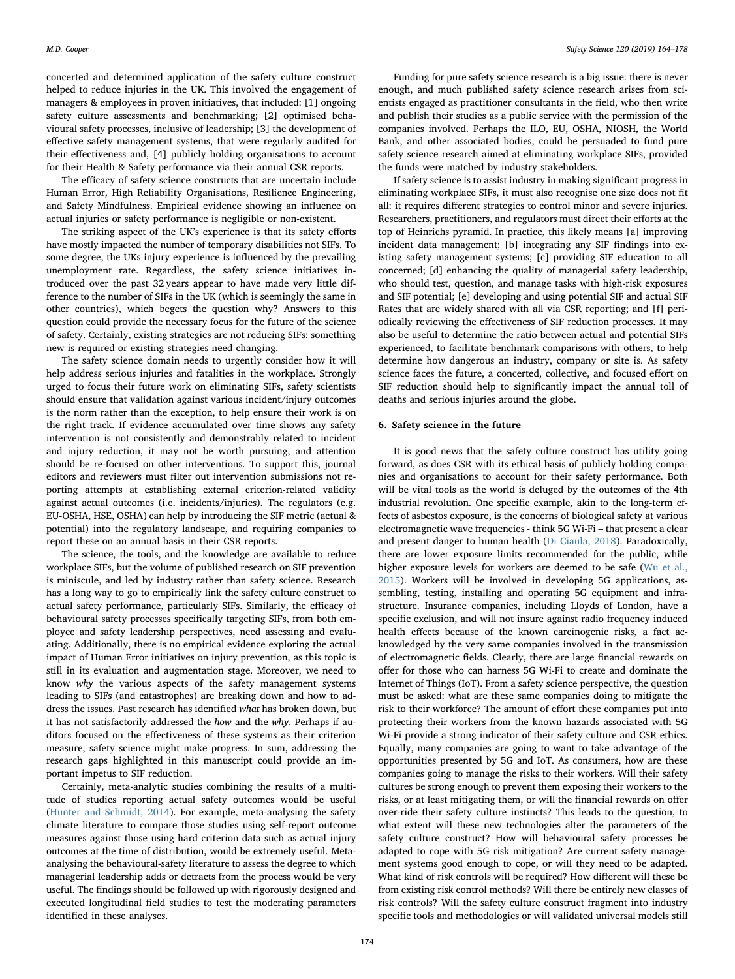concerted and determined application of the safety culture construct helped to reduce injuries in the UK. This involved the engagement of managers & employees in proven initiatives, that included: [1] ongoing safety culture assessments and benchmarking; [2] optimised behavioural safety processes, inclusive of leadership; [3] the development of effective safety management systems, that were regularly audited for their effectiveness and, [4] publicly holding organisations to account for their Health & Safety performance via their annual CSR reports.

The efficacy of safety science constructs that are uncertain include Human Error, High Reliability Organisations, Resilience Engineering, and Safety Mindfulness. Empirical evidence showing an influence on actual injuries or safety performance is negligible or non-existent.

The striking aspect of the UK's experience is that its safety efforts have mostly impacted the number of temporary disabilities not SIFs. To some degree, the UKs injury experience is influenced by the prevailing unemployment rate. Regardless, the safety science initiatives introduced over the past 32 years appear to have made very little difference to the number of SIFs in the UK (which is seemingly the same in other countries), which begets the question why? Answers to this question could provide the necessary focus for the future of the science of safety. Certainly, existing strategies are not reducing SIFs: something new is required or existing strategies need changing.

The safety science domain needs to urgently consider how it will help address serious injuries and fatalities in the workplace. Strongly urged to focus their future work on eliminating SIFs, safety scientists should ensure that validation against various incident/injury outcomes is the norm rather than the exception, to help ensure their work is on the right track. If evidence accumulated over time shows any safety intervention is not consistently and demonstrably related to incident and injury reduction, it may not be worth pursuing, and attention should be re-focused on other interventions. To support this, journal editors and reviewers must filter out intervention submissions not reporting attempts at establishing external criterion-related validity against actual outcomes (i.e. incidents/injuries). The regulators (e.g. EU-OSHA, HSE, OSHA) can help by introducing the SIF metric (actual & potential) into the regulatory landscape, and requiring companies to report these on an annual basis in their CSR reports.

The science, the tools, and the knowledge are available to reduce workplace SIFs, but the volume of published research on SIF prevention is miniscule, and led by industry rather than safety science. Research has a long way to go to empirically link the safety culture construct to actual safety performance, particularly SIFs. Similarly, the efficacy of behavioural safety processes specifically targeting SIFs, from both employee and safety leadership perspectives, need assessing and evaluating. Additionally, there is no empirical evidence exploring the actual impact of Human Error initiatives on injury prevention, as this topic is still in its evaluation and augmentation stage. Moreover, we need to know why the various aspects of the safety management systems leading to SIFs (and catastrophes) are breaking down and how to address the issues. Past research has identified what has broken down, but it has not satisfactorily addressed the how and the why. Perhaps if auditors focused on the effectiveness of these systems as their criterion measure, safety science might make progress. In sum, addressing the research gaps highlighted in this manuscript could provide an important impetus to SIF reduction.

Certainly, meta-analytic studies combining the results of a multitude of studies reporting actual safety outcomes would be useful ([Hunter and Schmidt, 2014\)](#page-12-64). For example, meta-analysing the safety climate literature to compare those studies using self-report outcome measures against those using hard criterion data such as actual injury outcomes at the time of distribution, would be extremely useful. Metaanalysing the behavioural-safety literature to assess the degree to which managerial leadership adds or detracts from the process would be very useful. The findings should be followed up with rigorously designed and executed longitudinal field studies to test the moderating parameters identified in these analyses.

Funding for pure safety science research is a big issue: there is never enough, and much published safety science research arises from scientists engaged as practitioner consultants in the field, who then write and publish their studies as a public service with the permission of the companies involved. Perhaps the ILO, EU, OSHA, NIOSH, the World Bank, and other associated bodies, could be persuaded to fund pure safety science research aimed at eliminating workplace SIFs, provided the funds were matched by industry stakeholders.

If safety science is to assist industry in making significant progress in eliminating workplace SIFs, it must also recognise one size does not fit all: it requires different strategies to control minor and severe injuries. Researchers, practitioners, and regulators must direct their efforts at the top of Heinrichs pyramid. In practice, this likely means [a] improving incident data management; [b] integrating any SIF findings into existing safety management systems; [c] providing SIF education to all concerned; [d] enhancing the quality of managerial safety leadership, who should test, question, and manage tasks with high-risk exposures and SIF potential; [e] developing and using potential SIF and actual SIF Rates that are widely shared with all via CSR reporting; and [f] periodically reviewing the effectiveness of SIF reduction processes. It may also be useful to determine the ratio between actual and potential SIFs experienced, to facilitate benchmark comparisons with others, to help determine how dangerous an industry, company or site is. As safety science faces the future, a concerted, collective, and focused effort on SIF reduction should help to significantly impact the annual toll of deaths and serious injuries around the globe.

#### 6. Safety science in the future

It is good news that the safety culture construct has utility going forward, as does CSR with its ethical basis of publicly holding companies and organisations to account for their safety performance. Both will be vital tools as the world is deluged by the outcomes of the 4th industrial revolution. One specific example, akin to the long-term effects of asbestos exposure, is the concerns of biological safety at various electromagnetic wave frequencies - think 5G Wi-Fi – that present a clear and present danger to human health [\(Di Ciaula, 2018\)](#page-12-65). Paradoxically, there are lower exposure limits recommended for the public, while higher exposure levels for workers are deemed to be safe ([Wu et al.,](#page-14-9) [2015\)](#page-14-9). Workers will be involved in developing 5G applications, assembling, testing, installing and operating 5G equipment and infrastructure. Insurance companies, including Lloyds of London, have a specific exclusion, and will not insure against radio frequency induced health effects because of the known carcinogenic risks, a fact acknowledged by the very same companies involved in the transmission of electromagnetic fields. Clearly, there are large financial rewards on offer for those who can harness 5G Wi-Fi to create and dominate the Internet of Things (IoT). From a safety science perspective, the question must be asked: what are these same companies doing to mitigate the risk to their workforce? The amount of effort these companies put into protecting their workers from the known hazards associated with 5G Wi-Fi provide a strong indicator of their safety culture and CSR ethics. Equally, many companies are going to want to take advantage of the opportunities presented by 5G and IoT. As consumers, how are these companies going to manage the risks to their workers. Will their safety cultures be strong enough to prevent them exposing their workers to the risks, or at least mitigating them, or will the financial rewards on offer over-ride their safety culture instincts? This leads to the question, to what extent will these new technologies alter the parameters of the safety culture construct? How will behavioural safety processes be adapted to cope with 5G risk mitigation? Are current safety management systems good enough to cope, or will they need to be adapted. What kind of risk controls will be required? How different will these be from existing risk control methods? Will there be entirely new classes of risk controls? Will the safety culture construct fragment into industry specific tools and methodologies or will validated universal models still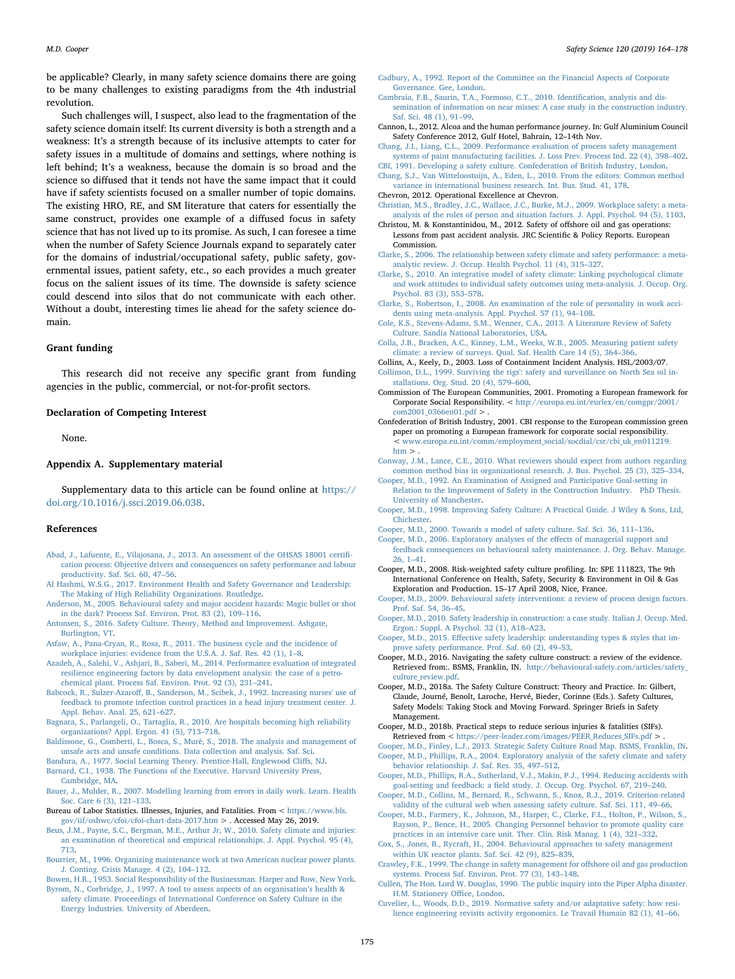be applicable? Clearly, in many safety science domains there are going to be many challenges to existing paradigms from the 4th industrial revolution.

Such challenges will, I suspect, also lead to the fragmentation of the safety science domain itself: Its current diversity is both a strength and a weakness: It's a strength because of its inclusive attempts to cater for safety issues in a multitude of domains and settings, where nothing is left behind; It's a weakness, because the domain is so broad and the science so diffused that it tends not have the same impact that it could have if safety scientists focused on a smaller number of topic domains. The existing HRO, RE, and SM literature that caters for essentially the same construct, provides one example of a diffused focus in safety science that has not lived up to its promise. As such, I can foresee a time when the number of Safety Science Journals expand to separately cater for the domains of industrial/occupational safety, public safety, governmental issues, patient safety, etc., so each provides a much greater focus on the salient issues of its time. The downside is safety science could descend into silos that do not communicate with each other. Without a doubt, interesting times lie ahead for the safety science domain.

#### Grant funding

This research did not receive any specific grant from funding agencies in the public, commercial, or not-for-profit sectors.

#### Declaration of Competing Interest

None.

## Appendix A. Supplementary material

Supplementary data to this article can be found online at [https://](https://doi.org/10.1016/j.ssci.2019.06.038) [doi.org/10.1016/j.ssci.2019.06.038.](https://doi.org/10.1016/j.ssci.2019.06.038)

## References

- <span id="page-11-31"></span>[Abad, J., Lafuente, E., Vilajosana, J., 2013. An assessment of the OHSAS 18001 certi](http://refhub.elsevier.com/S0925-7535(18)32007-1/h0005)fi[cation process: Objective drivers and consequences on safety performance and labour](http://refhub.elsevier.com/S0925-7535(18)32007-1/h0005) [productivity. Saf. Sci. 60, 47](http://refhub.elsevier.com/S0925-7535(18)32007-1/h0005)–56.
- <span id="page-11-40"></span>[Al Hashmi, W.S.G., 2017. Environment Health and Safety Governance and Leadership:](http://refhub.elsevier.com/S0925-7535(18)32007-1/h0010) [The Making of High Reliability Organizations. Routledge.](http://refhub.elsevier.com/S0925-7535(18)32007-1/h0010)
- <span id="page-11-19"></span>[Anderson, M., 2005. Behavioural safety and major accident hazards: Magic bullet or shot](http://refhub.elsevier.com/S0925-7535(18)32007-1/h0015) [in the dark? Process Saf. Environ. Prot. 83 \(2\), 109](http://refhub.elsevier.com/S0925-7535(18)32007-1/h0015)–116.
- <span id="page-11-4"></span>[Antonsen, S., 2016. Safety Culture. Theory, Method and Improvement. Ashgate,](http://refhub.elsevier.com/S0925-7535(18)32007-1/h0020) [Burlington, VT.](http://refhub.elsevier.com/S0925-7535(18)32007-1/h0020)
- [Asfaw, A., Pana-Cryan, R., Rosa, R., 2011. The business cycle and the incidence of](http://refhub.elsevier.com/S0925-7535(18)32007-1/h0025) [workplace injuries: evidence from the U.S.A. J. Saf. Res. 42 \(1\), 1](http://refhub.elsevier.com/S0925-7535(18)32007-1/h0025)–8.
- <span id="page-11-42"></span>[Azadeh, A., Salehi, V., Ashjari, B., Saberi, M., 2014. Performance evaluation of integrated](http://refhub.elsevier.com/S0925-7535(18)32007-1/h0030) [resilience engineering factors by data envelopment analysis: the case of a petro](http://refhub.elsevier.com/S0925-7535(18)32007-1/h0030)[chemical plant. Process Saf. Environ. Prot. 92 \(3\), 231](http://refhub.elsevier.com/S0925-7535(18)32007-1/h0030)–241.
- <span id="page-11-13"></span>Babcock, R., Sulzer-Azaroff[, B., Sanderson, M., Scibek, J., 1992. Increasing nurses' use of](http://refhub.elsevier.com/S0925-7535(18)32007-1/h0035) [feedback to promote infection control practices in a head injury treatment center. J.](http://refhub.elsevier.com/S0925-7535(18)32007-1/h0035) [Appl. Behav. Anal. 25, 621](http://refhub.elsevier.com/S0925-7535(18)32007-1/h0035)–627.
- [Bagnara, S., Parlangeli, O., Tartaglia, R., 2010. Are hospitals becoming high reliability](http://refhub.elsevier.com/S0925-7535(18)32007-1/h0040) [organizations? Appl. Ergon. 41 \(5\), 713](http://refhub.elsevier.com/S0925-7535(18)32007-1/h0040)–718.
- [Baldissone, G., Comberti, L., Bosca, S., Murè, S., 2018. The analysis and management of](http://refhub.elsevier.com/S0925-7535(18)32007-1/h0045) [unsafe acts and unsafe conditions. Data collection and analysis. Saf. Sci.](http://refhub.elsevier.com/S0925-7535(18)32007-1/h0045)
- <span id="page-11-37"></span><span id="page-11-5"></span>[Bandura, A., 1977. Social Learning Theory. Prentice-Hall, Englewood Cli](http://refhub.elsevier.com/S0925-7535(18)32007-1/h0050)ffs, NJ. [Barnard, C.I., 1938. The Functions of the Executive. Harvard University Press,](http://refhub.elsevier.com/S0925-7535(18)32007-1/h0055) [Cambridge, MA](http://refhub.elsevier.com/S0925-7535(18)32007-1/h0055).
- <span id="page-11-10"></span>[Bauer, J., Mulder, R., 2007. Modelling learning from errors in daily work. Learn. Health](http://refhub.elsevier.com/S0925-7535(18)32007-1/h0060) [Soc. Care 6 \(3\), 121](http://refhub.elsevier.com/S0925-7535(18)32007-1/h0060)–133.
- Bureau of Labor Statistics. Illnesses, Injuries, and Fatalities. From  $<$  <code>[https://www.bls.](https://www.bls.gov/iif/oshwc/cfoi/cfoi-chart-data-2017.htm)</code> [gov/iif/oshwc/cfoi/cfoi-chart-data-2017.htm](https://www.bls.gov/iif/oshwc/cfoi/cfoi-chart-data-2017.htm) > . Accessed May 26, 2019.
- <span id="page-11-24"></span>[Beus, J.M., Payne, S.C., Bergman, M.E., Arthur Jr, W., 2010. Safety climate and injuries:](http://refhub.elsevier.com/S0925-7535(18)32007-1/h0070) [an examination of theoretical and empirical relationships. J. Appl. Psychol. 95 \(4\),](http://refhub.elsevier.com/S0925-7535(18)32007-1/h0070) [713](http://refhub.elsevier.com/S0925-7535(18)32007-1/h0070).
- <span id="page-11-12"></span>[Bourrier, M., 1996. Organizing maintenance work at two American nuclear power plants.](http://refhub.elsevier.com/S0925-7535(18)32007-1/h0075) [J. Conting. Crisis Manage. 4 \(2\), 104](http://refhub.elsevier.com/S0925-7535(18)32007-1/h0075)–112.

<span id="page-11-21"></span>[Bowen, H.R., 1953. Social Responsibility of the Businessman. Harper and Row, New York.](http://refhub.elsevier.com/S0925-7535(18)32007-1/h0080) [Byrom, N., Corbridge, J., 1997. A tool to assess aspects of an organisation](http://refhub.elsevier.com/S0925-7535(18)32007-1/h0085)'s health & [safety climate. Proceedings of International Conference on Safety Culture in the](http://refhub.elsevier.com/S0925-7535(18)32007-1/h0085) [Energy Industries. University of Aberdeen.](http://refhub.elsevier.com/S0925-7535(18)32007-1/h0085)

- <span id="page-11-38"></span>[Cadbury, A., 1992. Report of the Committee on the Financial Aspects of Corporate](http://refhub.elsevier.com/S0925-7535(18)32007-1/h0090) [Governance. Gee, London.](http://refhub.elsevier.com/S0925-7535(18)32007-1/h0090)
- <span id="page-11-44"></span>[Cambraia, F.B., Saurin, T.A., Formoso, C.T., 2010. Identi](http://refhub.elsevier.com/S0925-7535(18)32007-1/h0095)fication, analysis and dis[semination of information on near misses: A case study in the construction industry.](http://refhub.elsevier.com/S0925-7535(18)32007-1/h0095) [Saf. Sci. 48 \(1\), 91](http://refhub.elsevier.com/S0925-7535(18)32007-1/h0095)–99.
- <span id="page-11-11"></span>Cannon, L., 2012. Alcoa and the human performance journey. In: Gulf Aluminium Council Safety Conference 2012, Gulf Hotel, Bahrain, 12–14th Nov.
- <span id="page-11-30"></span>[Chang, J.I., Liang, C.L., 2009. Performance evaluation of process safety management](http://refhub.elsevier.com/S0925-7535(18)32007-1/h0105) [systems of paint manufacturing facilities. J. Loss Prev. Process Ind. 22 \(4\), 398](http://refhub.elsevier.com/S0925-7535(18)32007-1/h0105)–402.
- <span id="page-11-27"></span><span id="page-11-1"></span>[CBI, 1991. Developing a safety culture. Confederation of British Industry, London.](http://refhub.elsevier.com/S0925-7535(18)32007-1/h9000) [Chang, S.J., Van Witteloostuijn, A., Eden, L., 2010. From the editors: Common method](http://refhub.elsevier.com/S0925-7535(18)32007-1/h0110) [variance in international business research. Int. Bus. Stud. 41, 178](http://refhub.elsevier.com/S0925-7535(18)32007-1/h0110).

<span id="page-11-29"></span>Chevron, 2012. Operational Excellence at Chevron. [Christian, M.S., Bradley, J.C., Wallace, J.C., Burke, M.J., 2009. Workplace safety: a meta-](http://refhub.elsevier.com/S0925-7535(18)32007-1/h0115)

- <span id="page-11-34"></span>[analysis of the roles of person and situation factors. J. Appl. Psychol. 94 \(5\), 1103](http://refhub.elsevier.com/S0925-7535(18)32007-1/h0115). Christou, M. & Konstantinidou, M., 2012. Safety of offshore oil and gas operations: Lessons from past accident analysis. JRC Scientific & Policy Reports. European Commission.
- [Clarke, S., 2006. The relationship between safety climate and safety performance: a meta](http://refhub.elsevier.com/S0925-7535(18)32007-1/h0120)[analytic review. J. Occup. Health Psychol. 11 \(4\), 315](http://refhub.elsevier.com/S0925-7535(18)32007-1/h0120)–327.
- <span id="page-11-26"></span>[Clarke, S., 2010. An integrative model of safety climate: Linking psychological climate](http://refhub.elsevier.com/S0925-7535(18)32007-1/h0125) [and work attitudes to individual safety outcomes using meta-analysis. J. Occup. Org.](http://refhub.elsevier.com/S0925-7535(18)32007-1/h0125) [Psychol. 83 \(3\), 553](http://refhub.elsevier.com/S0925-7535(18)32007-1/h0125)–578.
- <span id="page-11-0"></span>[Clarke, S., Robertson, I., 2008. An examination of the role of personality in work acci](http://refhub.elsevier.com/S0925-7535(18)32007-1/h0130)[dents using meta-analysis. Appl. Psychol. 57 \(1\), 94](http://refhub.elsevier.com/S0925-7535(18)32007-1/h0130)–108.
- [Cole, K.S., Stevens-Adams, S.M., Wenner, C.A., 2013. A Literature Review of Safety](http://refhub.elsevier.com/S0925-7535(18)32007-1/h0135) [Culture. Sandia National Laboratories, USA.](http://refhub.elsevier.com/S0925-7535(18)32007-1/h0135)
- <span id="page-11-25"></span>[Colla, J.B., Bracken, A.C., Kinney, L.M., Weeks, W.B., 2005. Measuring patient safety](http://refhub.elsevier.com/S0925-7535(18)32007-1/h0140) [climate: a review of surveys. Qual. Saf. Health Care 14 \(5\), 364](http://refhub.elsevier.com/S0925-7535(18)32007-1/h0140)–366.
- <span id="page-11-32"></span>Collins, A., Keely, D., 2003. Loss of Containment Incident Analysis. HSL/2003/07.

<span id="page-11-8"></span>[Collinson, D.L., 1999. Surviving the rigs': safety and surveillance on North Sea oil in](http://refhub.elsevier.com/S0925-7535(18)32007-1/h0145)[stallations. Org. Stud. 20 \(4\), 579](http://refhub.elsevier.com/S0925-7535(18)32007-1/h0145)–600.

- <span id="page-11-39"></span>Commission of The European Communities, 2001. Promoting a European framework for Corporate Social Responsibility. < [http://europa.eu.int/eurlex/en/comgpr/2001/](http://europa.eu.int/eurlex/en/comgpr/2001/com2001_0366en01.pdf) [com2001\\_0366en01.pdf](http://europa.eu.int/eurlex/en/comgpr/2001/com2001_0366en01.pdf) > .
- <span id="page-11-41"></span>Confederation of British Industry, 2001. CBI response to the European commission green paper on promoting a European framework for corporate social responsibility. < [www.europa.eu.int/comm/employment\\_social/socdial/csr/cbi\\_uk\\_en011219.](http://www.europa.eu.int/comm/employment_social/socdial/csr/cbi_uk_en011219.htm)  $h$ tm  $>$ .
- [Conway, J.M., Lance, C.E., 2010. What reviewers should expect from authors regarding](http://refhub.elsevier.com/S0925-7535(18)32007-1/h0160) [common method bias in organizational research. J. Bus. Psychol. 25 \(3\), 325](http://refhub.elsevier.com/S0925-7535(18)32007-1/h0160)–334.
- <span id="page-11-22"></span>[Cooper, M.D., 1992. An Examination of Assigned and Participative Goal-setting in](http://refhub.elsevier.com/S0925-7535(18)32007-1/h0165) [Relation to the Improvement of Safety in the Construction Industry. PhD Thesis.](http://refhub.elsevier.com/S0925-7535(18)32007-1/h0165) [University of Manchester.](http://refhub.elsevier.com/S0925-7535(18)32007-1/h0165)
- <span id="page-11-28"></span>[Cooper, M.D., 1998. Improving Safety Culture: A Practical Guide. J Wiley & Sons, Ltd,](http://refhub.elsevier.com/S0925-7535(18)32007-1/h0170) [Chichester](http://refhub.elsevier.com/S0925-7535(18)32007-1/h0170).
- <span id="page-11-3"></span>[Cooper, M.D., 2000. Towards a model of safety culture. Saf. Sci. 36, 111](http://refhub.elsevier.com/S0925-7535(18)32007-1/h0175)–136.
- <span id="page-11-15"></span>[Cooper, M.D., 2006. Exploratory analyses of the e](http://refhub.elsevier.com/S0925-7535(18)32007-1/h0180)ffects of managerial support and [feedback consequences on behavioural safety maintenance. J. Org. Behav. Manage.](http://refhub.elsevier.com/S0925-7535(18)32007-1/h0180) [26, 1](http://refhub.elsevier.com/S0925-7535(18)32007-1/h0180)–41.
- <span id="page-11-7"></span>Cooper, M.D., 2008. Risk-weighted safety culture profiling. In: SPE 111823, The 9th International Conference on Health, Safety, Security & Environment in Oil & Gas Exploration and Production. 15–17 April 2008, Nice, France.
- <span id="page-11-18"></span>[Cooper, M.D., 2009. Behavioural safety interventions: a review of process design factors.](http://refhub.elsevier.com/S0925-7535(18)32007-1/h0190) [Prof. Saf. 54, 36](http://refhub.elsevier.com/S0925-7535(18)32007-1/h0190)–45.
- <span id="page-11-20"></span>[Cooper, M.D., 2010. Safety leadership in construction: a case study. Italian J. Occup. Med.](http://refhub.elsevier.com/S0925-7535(18)32007-1/h0195) [Ergon.: Suppl. A Psychol. 32 \(1\), A18](http://refhub.elsevier.com/S0925-7535(18)32007-1/h0195)–A23.

<span id="page-11-46"></span>Cooper, M.D., 2015. Eff[ective safety leadership: understanding types & styles that im](http://refhub.elsevier.com/S0925-7535(18)32007-1/h0200)[prove safety performance. Prof. Saf. 60 \(2\), 49](http://refhub.elsevier.com/S0925-7535(18)32007-1/h0200)–53.

- <span id="page-11-33"></span>Cooper, M.D., 2016. Navigating the safety culture construct: a review of the evidence. Retrieved from:. BSMS, Franklin, IN. [http://behavioural-safety.com/articles/safety\\_](http://behavioural-safety.com/articles/safety_culture_review.pdf) [culture\\_review.pdf.](http://behavioural-safety.com/articles/safety_culture_review.pdf)
- <span id="page-11-36"></span>Cooper, M.D., 2018a. The Safety Culture Construct: Theory and Practice. In: Gilbert, Claude, Journé, Benoît, Laroche, Hervé, Bieder, Corinne (Eds.). Safety Cultures, Safety Models: Taking Stock and Moving Forward. Springer Briefs in Safety Management.
- <span id="page-11-45"></span>Cooper, M.D., 2018b. Practical steps to reduce serious injuries & fatalities (SIFs). Retrieved from < [https://peer-leader.com/images/PEER\\_Reduces\\_SIFs.pdf](https://peer-leader.com/images/PEER_Reduces_SIFs.pdf) > .
- <span id="page-11-23"></span><span id="page-11-6"></span>[Cooper, M.D., Finley, L.J., 2013. Strategic Safety Culture Road Map. BSMS, Franklin, IN.](http://refhub.elsevier.com/S0925-7535(18)32007-1/h0220) [Cooper, M.D., Phillips, R.A., 2004. Exploratory analysis of the safety climate and safety](http://refhub.elsevier.com/S0925-7535(18)32007-1/h0225) [behavior relationship. J. Saf. Res. 35, 497](http://refhub.elsevier.com/S0925-7535(18)32007-1/h0225)–512.
- <span id="page-11-14"></span>[Cooper, M.D., Phillips, R.A., Sutherland, V.J., Makin, P.J., 1994. Reducing accidents with](http://refhub.elsevier.com/S0925-7535(18)32007-1/h0230) goal-setting and feedback: a fi[eld study. J. Occup. Org. Psychol. 67, 219](http://refhub.elsevier.com/S0925-7535(18)32007-1/h0230)–240.
- <span id="page-11-35"></span>[Cooper, M.D., Collins, M., Bernard, R., Schwann, S., Knox, R.J., 2019. Criterion-related](http://refhub.elsevier.com/S0925-7535(18)32007-1/h0235) [validity of the cultural web when assessing safety culture. Saf. Sci. 111, 49](http://refhub.elsevier.com/S0925-7535(18)32007-1/h0235)–66.
- <span id="page-11-17"></span>[Cooper, M.D., Farmery, K., Johnson, M., Harper, C., Clarke, F.L., Holton, P., Wilson, S.,](http://refhub.elsevier.com/S0925-7535(18)32007-1/h0240) [Rayson, P., Bence, H., 2005. Changing Personnel behavior to promote quality care](http://refhub.elsevier.com/S0925-7535(18)32007-1/h0240) [practices in an intensive care unit. Ther. Clin. Risk Manag. 1 \(4\), 321](http://refhub.elsevier.com/S0925-7535(18)32007-1/h0240)–332.
- <span id="page-11-16"></span>[Cox, S., Jones, B., Rycraft, H., 2004. Behavioural approaches to safety management](http://refhub.elsevier.com/S0925-7535(18)32007-1/h0245) [within UK reactor plants. Saf. Sci. 42 \(9\), 825](http://refhub.elsevier.com/S0925-7535(18)32007-1/h0245)–839.
- <span id="page-11-2"></span>[Crawley, F.K., 1999. The change in safety management for o](http://refhub.elsevier.com/S0925-7535(18)32007-1/h0250)ffshore oil and gas production [systems. Process Saf. Environ. Prot. 77 \(3\), 143](http://refhub.elsevier.com/S0925-7535(18)32007-1/h0250)–148.
- <span id="page-11-9"></span>[Cullen, The Hon. Lord W. Douglas, 1990. The public inquiry into the Piper Alpha disaster.](http://refhub.elsevier.com/S0925-7535(18)32007-1/h0255) [H.M. Stationery O](http://refhub.elsevier.com/S0925-7535(18)32007-1/h0255)ffice, London.
- <span id="page-11-43"></span>[Cuvelier, L., Woods, D.D., 2019. Normative safety and/or adaptative safety: how resi](http://refhub.elsevier.com/S0925-7535(18)32007-1/h0260)[lience engineering revisits activity ergonomics. Le Travail Humain 82 \(1\), 41](http://refhub.elsevier.com/S0925-7535(18)32007-1/h0260)–66.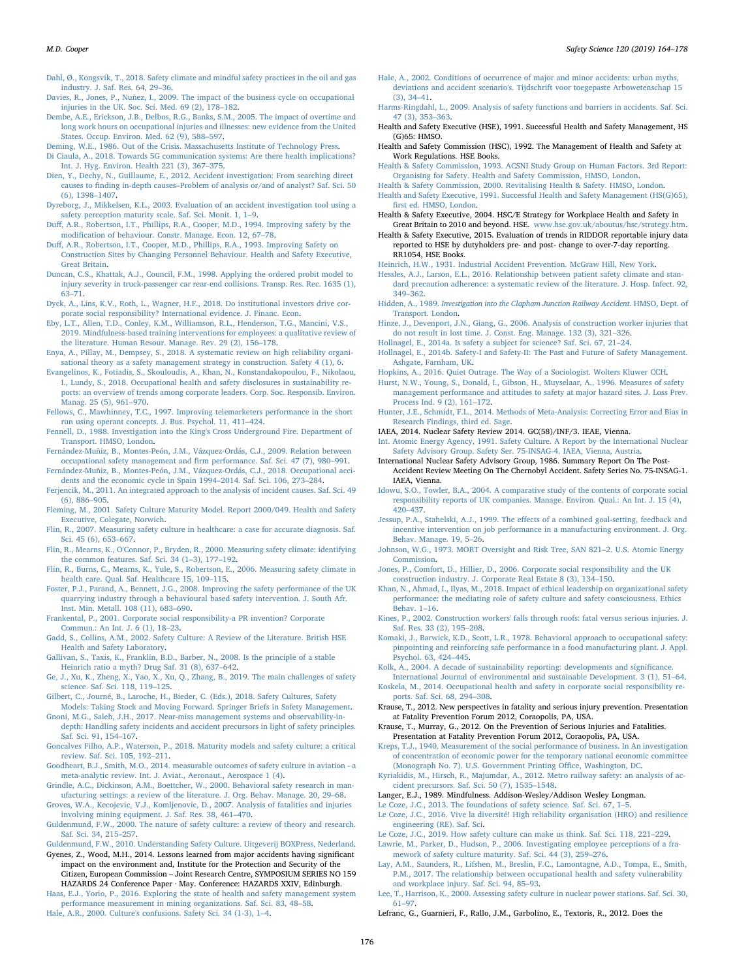<span id="page-12-54"></span>[Dahl, Ø., Kongsvik, T., 2018. Safety climate and mindful safety practices in the oil and gas](http://refhub.elsevier.com/S0925-7535(18)32007-1/h0265) [industry. J. Saf. Res. 64, 29](http://refhub.elsevier.com/S0925-7535(18)32007-1/h0265)–36.

<span id="page-12-8"></span>[Davies, R., Jones, P., Nuñez, I., 2009. The impact of the business cycle on occupational](http://refhub.elsevier.com/S0925-7535(18)32007-1/h0270) [injuries in the UK. Soc. Sci. Med. 69 \(2\), 178](http://refhub.elsevier.com/S0925-7535(18)32007-1/h0270)–182.

<span id="page-12-55"></span>[Dembe, A.E., Erickson, J.B., Delbos, R.G., Banks, S.M., 2005. The impact of overtime and](http://refhub.elsevier.com/S0925-7535(18)32007-1/h0275) [long work hours on occupational injuries and illnesses: new evidence from the United](http://refhub.elsevier.com/S0925-7535(18)32007-1/h0275) [States. Occup. Environ. Med. 62 \(9\), 588](http://refhub.elsevier.com/S0925-7535(18)32007-1/h0275)–597.

<span id="page-12-4"></span>[Deming, W.E., 1986. Out of the Crisis. Massachusetts Institute of Technology Press.](http://refhub.elsevier.com/S0925-7535(18)32007-1/h0280)

- <span id="page-12-65"></span>[Di Ciaula, A., 2018. Towards 5G communication systems: Are there health implications?](http://refhub.elsevier.com/S0925-7535(18)32007-1/h0285) [Int. J. Hyg. Environ. Health 221 \(3\), 367](http://refhub.elsevier.com/S0925-7535(18)32007-1/h0285)–375.
- [Dien, Y., Dechy, N., Guillaume, E., 2012. Accident investigation: From searching direct](http://refhub.elsevier.com/S0925-7535(18)32007-1/h0290) causes to finding in-depth causes–[Problem of analysis or/and of analyst? Saf. Sci. 50](http://refhub.elsevier.com/S0925-7535(18)32007-1/h0290) [\(6\), 1398](http://refhub.elsevier.com/S0925-7535(18)32007-1/h0290)–1407.
- <span id="page-12-32"></span>[Dyreborg, J., Mikkelsen, K.L., 2003. Evaluation of an accident investigation tool using a](http://refhub.elsevier.com/S0925-7535(18)32007-1/h0295) [safety perception maturity scale. Saf. Sci. Monit. 1, 1](http://refhub.elsevier.com/S0925-7535(18)32007-1/h0295)–9.
- Duff[, A.R., Robertson, I.T., Phillips, R.A., Cooper, M.D., 1994. Improving safety by the](http://refhub.elsevier.com/S0925-7535(18)32007-1/h0300) modifi[cation of behaviour. Constr. Manage. Econ. 12, 67](http://refhub.elsevier.com/S0925-7535(18)32007-1/h0300)–78.
- <span id="page-12-29"></span>Duff[, A.R., Robertson, I.T., Cooper, M.D., Phillips, R.A., 1993. Improving Safety on](http://refhub.elsevier.com/S0925-7535(18)32007-1/h0305) [Construction Sites by Changing Personnel Behaviour. Health and Safety Executive,](http://refhub.elsevier.com/S0925-7535(18)32007-1/h0305) [Great Britain](http://refhub.elsevier.com/S0925-7535(18)32007-1/h0305).
- <span id="page-12-56"></span>[Duncan, C.S., Khattak, A.J., Council, F.M., 1998. Applying the ordered probit model to](http://refhub.elsevier.com/S0925-7535(18)32007-1/h0310) [injury severity in truck-passenger car rear-end collisions. Transp. Res. Rec. 1635 \(1\),](http://refhub.elsevier.com/S0925-7535(18)32007-1/h0310) 63–[71](http://refhub.elsevier.com/S0925-7535(18)32007-1/h0310).
- <span id="page-12-49"></span>[Dyck, A., Lins, K.V., Roth, L., Wagner, H.F., 2018. Do institutional investors drive cor](http://refhub.elsevier.com/S0925-7535(18)32007-1/h0315)[porate social responsibility? International evidence. J. Financ. Econ](http://refhub.elsevier.com/S0925-7535(18)32007-1/h0315).
- <span id="page-12-53"></span>[Eby, L.T., Allen, T.D., Conley, K.M., Williamson, R.L., Henderson, T.G., Mancini, V.S.,](http://refhub.elsevier.com/S0925-7535(18)32007-1/h0320) [2019. Mindfulness-based training interventions for employees: a qualitative review of](http://refhub.elsevier.com/S0925-7535(18)32007-1/h0320) [the literature. Human Resour. Manage. Rev. 29 \(2\), 156](http://refhub.elsevier.com/S0925-7535(18)32007-1/h0320)–178.
- <span id="page-12-25"></span>[Enya, A., Pillay, M., Dempsey, S., 2018. A systematic review on high reliability organi](http://refhub.elsevier.com/S0925-7535(18)32007-1/h0325)[sational theory as a safety management strategy in construction. Safety 4 \(1\), 6.](http://refhub.elsevier.com/S0925-7535(18)32007-1/h0325)
- <span id="page-12-48"></span>[Evangelinos, K., Fotiadis, S., Skouloudis, A., Khan, N., Konstandakopoulou, F., Nikolaou,](http://refhub.elsevier.com/S0925-7535(18)32007-1/h0330) [I., Lundy, S., 2018. Occupational health and safety disclosures in sustainability re](http://refhub.elsevier.com/S0925-7535(18)32007-1/h0330)[ports: an overview of trends among corporate leaders. Corp. Soc. Responsib. Environ.](http://refhub.elsevier.com/S0925-7535(18)32007-1/h0330) [Manag. 25 \(5\), 961](http://refhub.elsevier.com/S0925-7535(18)32007-1/h0330)–970.
- <span id="page-12-28"></span>[Fellows, C., Mawhinney, T.C., 1997. Improving telemarketers performance in the short](http://refhub.elsevier.com/S0925-7535(18)32007-1/h0335) [run using operant concepts. J. Bus. Psychol. 11, 411](http://refhub.elsevier.com/S0925-7535(18)32007-1/h0335)–424.
- <span id="page-12-22"></span>[Fennell, D., 1988. Investigation into the King's Cross Underground Fire. Department of](http://refhub.elsevier.com/S0925-7535(18)32007-1/h0340) [Transport. HMSO, London](http://refhub.elsevier.com/S0925-7535(18)32007-1/h0340).
- <span id="page-12-33"></span>[Fernández-Muñiz, B., Montes-Peón, J.M., Vázquez-Ordás, C.J., 2009. Relation between](http://refhub.elsevier.com/S0925-7535(18)32007-1/h0345) occupational safety management and fi[rm performance. Saf. Sci. 47 \(7\), 980](http://refhub.elsevier.com/S0925-7535(18)32007-1/h0345)–991.
- [Fernández-Muñiz, B., Montes-Peón, J.M., Vázquez-Ordás, C.J., 2018. Occupational acci](http://refhub.elsevier.com/S0925-7535(18)32007-1/h0350)[dents and the economic cycle in Spain 1994](http://refhub.elsevier.com/S0925-7535(18)32007-1/h0350)–2014. Saf. Sci. 106, 273–284.
- <span id="page-12-59"></span>[Ferjencik, M., 2011. An integrated approach to the analysis of incident causes. Saf. Sci. 49](http://refhub.elsevier.com/S0925-7535(18)32007-1/h0355) [\(6\), 886](http://refhub.elsevier.com/S0925-7535(18)32007-1/h0355)–905.
- <span id="page-12-39"></span>Fleming, [M., 2001. Safety Culture Maturity Model. Report 2000/049. Health and Safety](http://refhub.elsevier.com/S0925-7535(18)32007-1/h0360) [Executive, Colegate, Norwich](http://refhub.elsevier.com/S0925-7535(18)32007-1/h0360).
- <span id="page-12-36"></span>[Flin, R., 2007. Measuring safety culture in healthcare: a case for accurate diagnosis. Saf.](http://refhub.elsevier.com/S0925-7535(18)32007-1/h0365) [Sci. 45 \(6\), 653](http://refhub.elsevier.com/S0925-7535(18)32007-1/h0365)–667.
- <span id="page-12-21"></span>[Flin, R., Mearns, K., O'Connor, P., Bryden, R., 2000. Measuring safety climate: identifying](http://refhub.elsevier.com/S0925-7535(18)32007-1/h0370) [the common features. Saf. Sci. 34 \(1](http://refhub.elsevier.com/S0925-7535(18)32007-1/h0370)–3), 177–192.
- [Flin, R., Burns, C., Mearns, K., Yule, S., Robertson, E., 2006. Measuring safety climate in](http://refhub.elsevier.com/S0925-7535(18)32007-1/h0375) [health care. Qual. Saf. Healthcare 15, 109](http://refhub.elsevier.com/S0925-7535(18)32007-1/h0375)–115.
- <span id="page-12-30"></span>[Foster, P.J., Parand, A., Bennett, J.G., 2008. Improving the safety performance of the UK](http://refhub.elsevier.com/S0925-7535(18)32007-1/h0380) [quarrying industry through a behavioural based safety intervention. J. South Afr.](http://refhub.elsevier.com/S0925-7535(18)32007-1/h0380) [Inst. Min. Metall. 108 \(11\), 683](http://refhub.elsevier.com/S0925-7535(18)32007-1/h0380)–690.
- [Frankental, P., 2001. Corporate social responsibility-a PR invention? Corporate](http://refhub.elsevier.com/S0925-7535(18)32007-1/h0385) [Commun.: An Int. J. 6 \(1\), 18](http://refhub.elsevier.com/S0925-7535(18)32007-1/h0385)–23.
- <span id="page-12-31"></span>[Gadd, S., Collins, A.M., 2002. Safety Culture: A Review of the Literature. British HSE](http://refhub.elsevier.com/S0925-7535(18)32007-1/h0390) [Health and Safety Laboratory](http://refhub.elsevier.com/S0925-7535(18)32007-1/h0390).
- <span id="page-12-10"></span>[Gallivan, S., Taxis, K., Franklin, B.D., Barber, N., 2008. Is the principle of a stable](http://refhub.elsevier.com/S0925-7535(18)32007-1/h0395) [Heinrich ratio a myth? Drug Saf. 31 \(8\), 637](http://refhub.elsevier.com/S0925-7535(18)32007-1/h0395)–642.
- [Ge, J., Xu, K., Zheng, X., Yao, X., Xu, Q., Zhang, B., 2019. The main challenges of safety](http://refhub.elsevier.com/S0925-7535(18)32007-1/h0400) [science. Saf. Sci. 118, 119](http://refhub.elsevier.com/S0925-7535(18)32007-1/h0400)–125.
- <span id="page-12-35"></span>[Gilbert, C., Journé, B., Laroche, H., Bieder, C. \(Eds.\), 2018. Safety Cultures, Safety](http://refhub.elsevier.com/S0925-7535(18)32007-1/h0405) [Models: Taking Stock and Moving Forward. Springer Briefs in Safety Management](http://refhub.elsevier.com/S0925-7535(18)32007-1/h0405).
- [Gnoni, M.G., Saleh, J.H., 2017. Near-miss management systems and observability-in](http://refhub.elsevier.com/S0925-7535(18)32007-1/h0410)[depth: Handling safety incidents and accident precursors in light of safety principles.](http://refhub.elsevier.com/S0925-7535(18)32007-1/h0410) [Saf. Sci. 91, 154](http://refhub.elsevier.com/S0925-7535(18)32007-1/h0410)–167.
- <span id="page-12-40"></span>[Goncalves Filho, A.P., Waterson, P., 2018. Maturity models and safety culture: a critical](http://refhub.elsevier.com/S0925-7535(18)32007-1/h0415) [review. Saf. Sci. 105, 192](http://refhub.elsevier.com/S0925-7535(18)32007-1/h0415)–211.
- [Goodheart, B.J., Smith, M.O., 2014. measurable outcomes of safety culture in aviation a](http://refhub.elsevier.com/S0925-7535(18)32007-1/h0420) [meta-analytic review. Int. J. Aviat., Aeronaut., Aerospace 1 \(4\)](http://refhub.elsevier.com/S0925-7535(18)32007-1/h0420).
- <span id="page-12-26"></span>[Grindle, A.C., Dickinson, A.M., Boettcher, W., 2000. Behavioral safety research in man](http://refhub.elsevier.com/S0925-7535(18)32007-1/h0425)[ufacturing settings: a review of the literature. J. Org. Behav. Manage. 20, 29](http://refhub.elsevier.com/S0925-7535(18)32007-1/h0425)–68. [Groves, W.A., Kecojevic, V.J., Komljenovic, D., 2007. Analysis of fatalities and injuries](http://refhub.elsevier.com/S0925-7535(18)32007-1/h0430)
- [involving mining equipment. J. Saf. Res. 38, 461](http://refhub.elsevier.com/S0925-7535(18)32007-1/h0430)–470.
- <span id="page-12-20"></span>[Guldenmund, F.W., 2000. The nature of safety culture: a review of theory and research.](http://refhub.elsevier.com/S0925-7535(18)32007-1/h0435) [Saf. Sci. 34, 215](http://refhub.elsevier.com/S0925-7535(18)32007-1/h0435)–257.
- <span id="page-12-38"></span><span id="page-12-15"></span>[Guldenmund, F.W., 2010. Understanding Safety Culture. Uitgeverij BOXPress, Nederland.](http://refhub.elsevier.com/S0925-7535(18)32007-1/h0440) Gyenes, Z., Wood, M.H., 2014. Lessons learned from major accidents having significant
- impact on the environment and, Institute for the Protection and Security of the Citizen, European Commission – Joint Research Centre, SYMPOSIUM SERIES NO 159 HAZARDS 24 Conference Paper · May. Conference: HAZARDS XXIV, Edinburgh.
- [Haas, E.J., Yorio, P., 2016. Exploring the state of health and safety management system](http://refhub.elsevier.com/S0925-7535(18)32007-1/h0445) [performance measurement in mining organizations. Saf. Sci. 83, 48](http://refhub.elsevier.com/S0925-7535(18)32007-1/h0445)–58.
- <span id="page-12-13"></span>[Hale, A.R., 2000. Culture's confusions. Safety Sci. 34 \(1-3\), 1](http://refhub.elsevier.com/S0925-7535(18)32007-1/h9040)–4.
- <span id="page-12-57"></span>[Hale, A., 2002. Conditions of occurrence of major and minor accidents: urban myths,](http://refhub.elsevier.com/S0925-7535(18)32007-1/h0450) [deviations and accident scenario's. Tijdschrift voor toegepaste Arbowetenschap 15](http://refhub.elsevier.com/S0925-7535(18)32007-1/h0450) [\(3\), 34](http://refhub.elsevier.com/S0925-7535(18)32007-1/h0450)–41.
- <span id="page-12-60"></span>Harms-Ringdahl, [L., 2009. Analysis of safety functions and barriers in accidents. Saf. Sci.](http://refhub.elsevier.com/S0925-7535(18)32007-1/h0455) [47 \(3\), 353](http://refhub.elsevier.com/S0925-7535(18)32007-1/h0455)–363.
- <span id="page-12-3"></span>Health and Safety Executive (HSE), 1991. Successful Health and Safety Management, HS (G)65: HMSO.
- <span id="page-12-2"></span>Health and Safety Commission (HSC), 1992. The Management of Health and Safety at Work Regulations. HSE Books.
- <span id="page-12-14"></span>[Health & Safety Commission, 1993. ACSNI Study Group on Human Factors. 3rd Report:](http://refhub.elsevier.com/S0925-7535(18)32007-1/h0460) [Organising for Safety. Health and Safety Commission, HMSO, London](http://refhub.elsevier.com/S0925-7535(18)32007-1/h0460).
- <span id="page-12-46"></span><span id="page-12-24"></span>[Health & Safety Commission, 2000. Revitalising Health & Safety. HMSO, London.](http://refhub.elsevier.com/S0925-7535(18)32007-1/h0465)
- [Health and Safety Executive, 1991. Successful Health and Safety Management \(HS\(G\)65\),](http://refhub.elsevier.com/S0925-7535(18)32007-1/h0470) fi[rst ed. HMSO, London.](http://refhub.elsevier.com/S0925-7535(18)32007-1/h0470)
- <span id="page-12-6"></span>Health & Safety Executive, 2004. HSC/E Strategy for Workplace Health and Safety in Great Britain to 2010 and beyond. HSE. [www.hse.gov.uk/aboutus/hsc/strategy.htm.](http://www.hse.gov.uk/aboutus/hsc/strategy.htm)
- <span id="page-12-7"></span>Health & Safety Executive, 2015. Evaluation of trends in RIDDOR reportable injury data reported to HSE by dutyholders pre- and post- change to over-7-day reporting.
- <span id="page-12-9"></span>RR1054, HSE Books. [Heinrich, H.W., 1931. Industrial Accident Prevention. McGraw Hill, New York](http://refhub.elsevier.com/S0925-7535(18)32007-1/h0490).
- [Hessles, A.J., Larson, E.L., 2016. Relationship between patient safety climate and stan](http://refhub.elsevier.com/S0925-7535(18)32007-1/h0495)[dard precaution adherence: a systematic review of the literature. J. Hosp. Infect. 92,](http://refhub.elsevier.com/S0925-7535(18)32007-1/h0495) 349–[362](http://refhub.elsevier.com/S0925-7535(18)32007-1/h0495).
- <span id="page-12-23"></span>Hidden, A., 1989. [Investigation into the Clapham Junction Railway Accident](http://refhub.elsevier.com/S0925-7535(18)32007-1/h0500). HMSO, Dept. of [Transport. London.](http://refhub.elsevier.com/S0925-7535(18)32007-1/h0500)
- [Hinze, J., Devenport, J.N., Giang, G., 2006. Analysis of construction worker injuries that](http://refhub.elsevier.com/S0925-7535(18)32007-1/h0505) [do not result in lost time. J. Const. Eng. Manage. 132 \(3\), 321](http://refhub.elsevier.com/S0925-7535(18)32007-1/h0505)–326.
- <span id="page-12-0"></span>[Hollnagel, E., 2014a. Is safety a subject for science? Saf. Sci. 67, 21](http://refhub.elsevier.com/S0925-7535(18)32007-1/h0510)–24.
- <span id="page-12-50"></span>[Hollnagel, E., 2014b. Safety-I and Safety-II: The Past and Future of Safety Management.](http://refhub.elsevier.com/S0925-7535(18)32007-1/h0515) [Ashgate, Farnham, UK.](http://refhub.elsevier.com/S0925-7535(18)32007-1/h0515)
- <span id="page-12-19"></span>[Hopkins, A., 2016. Quiet Outrage. The Way of a Sociologist. Wolters Kluwer CCH.](http://refhub.elsevier.com/S0925-7535(18)32007-1/h0520)
- <span id="page-12-34"></span>[Hurst, N.W., Young, S., Donald, I., Gibson, H., Muyselaar, A., 1996. Measures of safety](http://refhub.elsevier.com/S0925-7535(18)32007-1/h0525) [management performance and attitudes to safety at major hazard sites. J. Loss Prev.](http://refhub.elsevier.com/S0925-7535(18)32007-1/h0525) [Process Ind. 9 \(2\), 161](http://refhub.elsevier.com/S0925-7535(18)32007-1/h0525)–172.
- <span id="page-12-64"></span>[Hunter, J.E., Schmidt, F.L., 2014. Methods of Meta-Analysis: Correcting Error and Bias in](http://refhub.elsevier.com/S0925-7535(18)32007-1/h0530) [Research Findings, third ed. Sage.](http://refhub.elsevier.com/S0925-7535(18)32007-1/h0530)
- <span id="page-12-37"></span>IAEA, 2014. Nuclear Safety Review 2014. GC(58)/INF/3. IEAE, Vienna.
- <span id="page-12-12"></span>[Int. Atomic Energy Agency, 1991. Safety Culture. A Report by the International Nuclear](http://refhub.elsevier.com/S0925-7535(18)32007-1/h0535) [Safety Advisory Group. Safety Ser. 75-INSAG-4. IAEA, Vienna, Austria.](http://refhub.elsevier.com/S0925-7535(18)32007-1/h0535)
- <span id="page-12-5"></span>International Nuclear Safety Advisory Group, 1986. Summary Report On The Post-Accident Review Meeting On The Chernobyl Accident. Safety Series No. 75-INSAG-1. IAEA, Vienna.
- <span id="page-12-47"></span>[Idowu, S.O., Towler, B.A., 2004. A comparative study of the contents of corporate social](http://refhub.elsevier.com/S0925-7535(18)32007-1/h0550) [responsibility reports of UK companies. Manage. Environ. Qual.: An Int. J. 15 \(4\),](http://refhub.elsevier.com/S0925-7535(18)32007-1/h0550) 420–[437](http://refhub.elsevier.com/S0925-7535(18)32007-1/h0550).
- <span id="page-12-27"></span>Jessup, P.A., Stahelski, A.J., 1999. The eff[ects of a combined goal-setting, feedback and](http://refhub.elsevier.com/S0925-7535(18)32007-1/h0555) [incentive intervention on job performance in a manufacturing environment. J. Org.](http://refhub.elsevier.com/S0925-7535(18)32007-1/h0555) [Behav. Manage. 19, 5](http://refhub.elsevier.com/S0925-7535(18)32007-1/h0555)–26.
- <span id="page-12-17"></span>[Johnson, W.G., 1973. MORT Oversight and Risk Tree, SAN 821](http://refhub.elsevier.com/S0925-7535(18)32007-1/h0560)–2. U.S. Atomic Energy [Commission.](http://refhub.elsevier.com/S0925-7535(18)32007-1/h0560)
- <span id="page-12-44"></span>[Jones, P., Comfort, D., Hillier, D., 2006. Corporate social responsibility and the UK](http://refhub.elsevier.com/S0925-7535(18)32007-1/h0565) [construction industry. J. Corporate Real Estate 8 \(3\), 134](http://refhub.elsevier.com/S0925-7535(18)32007-1/h0565)–150.
- <span id="page-12-45"></span>[Khan, N., Ahmad, I., Ilyas, M., 2018. Impact of ethical leadership on organizational safety](http://refhub.elsevier.com/S0925-7535(18)32007-1/h0570) [performance: the mediating role of safety culture and safety consciousness. Ethics](http://refhub.elsevier.com/S0925-7535(18)32007-1/h0570) [Behav. 1](http://refhub.elsevier.com/S0925-7535(18)32007-1/h0570)–16.
- <span id="page-12-58"></span>[Kines, P., 2002. Construction workers' falls through roofs: fatal versus serious injuries. J.](http://refhub.elsevier.com/S0925-7535(18)32007-1/h0575) [Saf. Res. 33 \(2\), 195](http://refhub.elsevier.com/S0925-7535(18)32007-1/h0575)–208.
- <span id="page-12-16"></span>Komaki, [J., Barwick, K.D., Scott, L.R., 1978. Behavioral approach to occupational safety:](http://refhub.elsevier.com/S0925-7535(18)32007-1/h0580) [pinpointing and reinforcing safe performance in a food manufacturing plant. J. Appl.](http://refhub.elsevier.com/S0925-7535(18)32007-1/h0580) [Psychol. 63, 424](http://refhub.elsevier.com/S0925-7535(18)32007-1/h0580)–445.
- <span id="page-12-43"></span>[Kolk, A., 2004. A decade of sustainability reporting: developments and signi](http://refhub.elsevier.com/S0925-7535(18)32007-1/h9120)ficance.

[International Journal of environmental and sustainable Development. 3 \(1\), 51](http://refhub.elsevier.com/S0925-7535(18)32007-1/h9120)–64. [Koskela, M., 2014. Occupational health and safety in corporate social responsibility re](http://refhub.elsevier.com/S0925-7535(18)32007-1/h0585)[ports. Saf. Sci. 68, 294](http://refhub.elsevier.com/S0925-7535(18)32007-1/h0585)–308.

- <span id="page-12-63"></span>Krause, T., 2012. New perspectives in fatality and serious injury prevention. Presentation at Fatality Prevention Forum 2012, Coraopolis, PA, USA.
- <span id="page-12-61"></span>Krause, T., Murray, G., 2012. On the Prevention of Serious Injuries and Fatalities. Presentation at Fatality Prevention Forum 2012, Coraopolis, PA, USA.
- [Kreps, T.J., 1940. Measurement of the social performance of business. In An investigation](http://refhub.elsevier.com/S0925-7535(18)32007-1/h0600) [of concentration of economic power for the temporary national economic committee](http://refhub.elsevier.com/S0925-7535(18)32007-1/h0600) [\(Monograph No. 7\). U.S. Government Printing O](http://refhub.elsevier.com/S0925-7535(18)32007-1/h0600)ffice, Washington, DC.
- <span id="page-12-42"></span>[Kyriakidis, M., Hirsch, R., Majumdar, A., 2012. Metro railway safety: an analysis of ac](http://refhub.elsevier.com/S0925-7535(18)32007-1/h0605)[cident precursors. Saf. Sci. 50 \(7\), 1535](http://refhub.elsevier.com/S0925-7535(18)32007-1/h0605)–1548.
- <span id="page-12-52"></span>Langer, E.J., 1989. Mindfulness. Addison-Wesley/Addison Wesley Longman.
- <span id="page-12-1"></span>[Le Coze, J.C., 2013. The foundations of safety science. Saf. Sci. 67, 1](http://refhub.elsevier.com/S0925-7535(18)32007-1/h0610)–5.
- <span id="page-12-51"></span>[Le Coze, J.C., 2016. Vive la diversité! High reliability organisation \(HRO\) and resilience](http://refhub.elsevier.com/S0925-7535(18)32007-1/h0615) [engineering \(RE\). Saf. Sci](http://refhub.elsevier.com/S0925-7535(18)32007-1/h0615).
- <span id="page-12-41"></span><span id="page-12-11"></span>[Le Coze, J.C., 2019. How safety culture can make us think. Saf. Sci. 118, 221](http://refhub.elsevier.com/S0925-7535(18)32007-1/h0620)–229. [Lawrie, M., Parker, D., Hudson, P., 2006. Investigating employee perceptions of a fra-](http://refhub.elsevier.com/S0925-7535(18)32007-1/h0625)
- <span id="page-12-62"></span>[mework of safety culture maturity. Saf. Sci. 44 \(3\), 259](http://refhub.elsevier.com/S0925-7535(18)32007-1/h0625)–276. [Lay, A.M., Saunders, R., Lifshen, M., Breslin, F.C., Lamontagne, A.D., Tompa, E., Smith,](http://refhub.elsevier.com/S0925-7535(18)32007-1/h0630)
- [P.M., 2017. The relationship between occupational health and safety vulnerability](http://refhub.elsevier.com/S0925-7535(18)32007-1/h0630) [and workplace injury. Saf. Sci. 94, 85](http://refhub.elsevier.com/S0925-7535(18)32007-1/h0630)–93.
- <span id="page-12-18"></span>[Lee, T., Harrison, K., 2000. Assessing safety culture in nuclear power stations. Saf. Sci. 30,](http://refhub.elsevier.com/S0925-7535(18)32007-1/h0635) 61–[97](http://refhub.elsevier.com/S0925-7535(18)32007-1/h0635).
- Lefranc, G., Guarnieri, F., Rallo, J.M., Garbolino, E., Textoris, R., 2012. Does the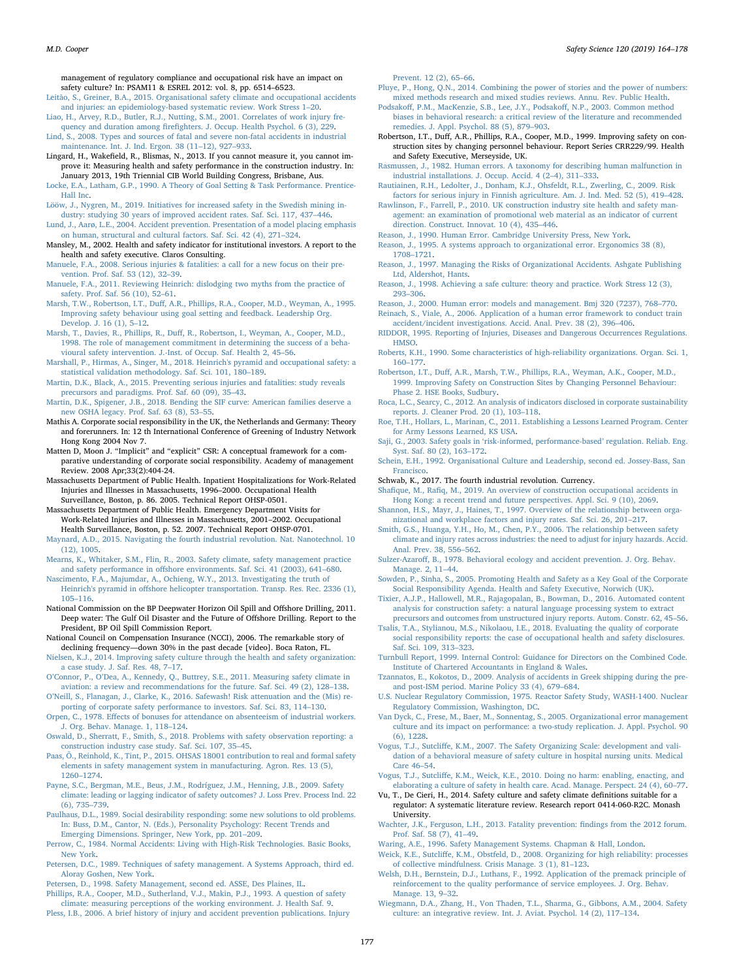management of regulatory compliance and occupational risk have an impact on safety culture? In: PSAM11 & ESREL 2012: vol. 8, pp. 6514–6523.<br>Leitão, S., Greiner, B.A., 2015. Organisational safety climate and occur

- ., Greiner, B.A., 2015. Organisational safety climate and occupational accidents [and injuries: an epidemiology-based systematic review. Work Stress 1](http://refhub.elsevier.com/S0925-7535(18)32007-1/h0645)–20.
- <span id="page-13-29"></span>[Liao, H., Arvey, R.D., Butler, R.J., Nutting, S.M., 2001. Correlates of work injury fre](http://refhub.elsevier.com/S0925-7535(18)32007-1/h0650)quency and duration among firefi[ghters. J. Occup. Health Psychol. 6 \(3\), 229.](http://refhub.elsevier.com/S0925-7535(18)32007-1/h0650) [Lind, S., 2008. Types and sources of fatal and severe non-fatal accidents in industrial](http://refhub.elsevier.com/S0925-7535(18)32007-1/h0655)
- <span id="page-13-1"></span>[maintenance. Int. J. Ind. Ergon. 38 \(11](http://refhub.elsevier.com/S0925-7535(18)32007-1/h0655)–12), 927–933. Lingard, H., Wakefield, R., Blismas, N., 2013. If you cannot measure it, you cannot im-
- prove it: Measuring health and safety performance in the construction industry. In: January 2013, 19th Triennial CIB World Building Congress, Brisbane, Aus.
- <span id="page-13-26"></span>[Locke, E.A., Latham, G.P., 1990. A Theory of Goal Setting & Task Performance. Prentice-](http://refhub.elsevier.com/S0925-7535(18)32007-1/h0665)[Hall Inc](http://refhub.elsevier.com/S0925-7535(18)32007-1/h0665).
- [Lööw, J., Nygren, M., 2019. Initiatives for increased safety in the Swedish mining in](http://refhub.elsevier.com/S0925-7535(18)32007-1/h0670)[dustry: studying 30 years of improved accident rates. Saf. Sci. 117, 437](http://refhub.elsevier.com/S0925-7535(18)32007-1/h0670)–446.
- <span id="page-13-15"></span>[Lund, J., Aarø, L.E., 2004. Accident prevention. Presentation of a model placing emphasis](http://refhub.elsevier.com/S0925-7535(18)32007-1/h0675) [on human, structural and cultural factors. Saf. Sci. 42 \(4\), 271](http://refhub.elsevier.com/S0925-7535(18)32007-1/h0675)–324.
- <span id="page-13-36"></span>Mansley, M., 2002. Health and safety indicator for institutional investors. A report to the health and safety executive. Claros Consulting.
- <span id="page-13-6"></span>[Manuele, F.A., 2008. Serious injuries & fatalities: a call for a new focus on their pre](http://refhub.elsevier.com/S0925-7535(18)32007-1/h0680)[vention. Prof. Saf. 53 \(12\), 32](http://refhub.elsevier.com/S0925-7535(18)32007-1/h0680)–39.
- <span id="page-13-5"></span>[Manuele, F.A., 2011. Reviewing Heinrich: dislodging two myths from the practice of](http://refhub.elsevier.com/S0925-7535(18)32007-1/h0685) [safety. Prof. Saf. 56 \(10\), 52](http://refhub.elsevier.com/S0925-7535(18)32007-1/h0685)–61.
- Marsh, T.W., Robertson, I.T., Duff[, A.R., Phillips, R.A., Cooper, M.D., Weyman, A., 1995.](http://refhub.elsevier.com/S0925-7535(18)32007-1/h0690) [Improving safety behaviour using goal setting and feedback. Leadership Org.](http://refhub.elsevier.com/S0925-7535(18)32007-1/h0690) [Develop. J. 16 \(1\), 5](http://refhub.elsevier.com/S0925-7535(18)32007-1/h0690)–12.
- Marsh, T., Davies, R., Phillips, R., Duff[, R., Robertson, I., Weyman, A., Cooper, M.D.,](http://refhub.elsevier.com/S0925-7535(18)32007-1/h0695) [1998. The role of management commitment in determining the success of a beha](http://refhub.elsevier.com/S0925-7535(18)32007-1/h0695)[vioural safety intervention. J.-Inst. of Occup. Saf. Health 2, 45](http://refhub.elsevier.com/S0925-7535(18)32007-1/h0695)–56.
- <span id="page-13-4"></span>[Marshall, P., Hirmas, A., Singer, M., 2018. Heinrich's pyramid and occupational safety: a](http://refhub.elsevier.com/S0925-7535(18)32007-1/h0700) [statistical validation methodology. Saf. Sci. 101, 180](http://refhub.elsevier.com/S0925-7535(18)32007-1/h0700)–189.
- <span id="page-13-52"></span>[Martin, D.K., Black, A., 2015. Preventing serious injuries and fatalities: study reveals](http://refhub.elsevier.com/S0925-7535(18)32007-1/h0705) [precursors and paradigms. Prof. Saf. 60 \(09\), 35](http://refhub.elsevier.com/S0925-7535(18)32007-1/h0705)–43.
- [Martin, D.K., Spigener, J.B., 2018. Bending the SIF curve: American families deserve a](http://refhub.elsevier.com/S0925-7535(18)32007-1/h0710) [new OSHA legacy. Prof. Saf. 63 \(8\), 53](http://refhub.elsevier.com/S0925-7535(18)32007-1/h0710)–55.
- <span id="page-13-38"></span>Mathis A. Corporate social responsibility in the UK, the Netherlands and Germany: Theory and forerunners. In: 12 th International Conference of Greening of Industry Network Hong Kong 2004 Nov 7.
- <span id="page-13-39"></span>Matten D, Moon J. "Implicit" and "explicit" CSR: A conceptual framework for a comparative understanding of corporate social responsibility. Academy of management Review. 2008 Apr;33(2):404-24.
- <span id="page-13-3"></span>Massachusetts Department of Public Health. Inpatient Hospitalizations for Work‐Related Injuries and Illnesses in Massachusetts, 1996–2000. Occupational Health Surveillance, Boston, p. 86. 2005. Technical Report OHSP‐0501.
- Massachusetts Department of Public Health. Emergency Department Visits for Work‐Related Injuries and Illnesses in Massachusetts, 2001–2002. Occupational Health Surveillance, Boston, p. 52. 2007. Technical Report OHSP‐0701.
- <span id="page-13-0"></span>[Maynard, A.D., 2015. Navigating the fourth industrial revolution. Nat. Nanotechnol. 10](http://refhub.elsevier.com/S0925-7535(18)32007-1/h0725) [\(12\), 1005.](http://refhub.elsevier.com/S0925-7535(18)32007-1/h0725)
- [Mearns, K., Whitaker, S.M., Flin, R., 2003. Safety climate, safety management practice](http://refhub.elsevier.com/S0925-7535(18)32007-1/h0730) and safety performance in off[shore environments. Saf. Sci. 41 \(2003\), 641](http://refhub.elsevier.com/S0925-7535(18)32007-1/h0730)–680.
- [Nascimento, F.A., Majumdar, A., Ochieng, W.Y., 2013. Investigating the truth of](http://refhub.elsevier.com/S0925-7535(18)32007-1/h0735) Heinrich's pyramid in off[shore helicopter transportation. Transp. Res. Rec. 2336 \(1\),](http://refhub.elsevier.com/S0925-7535(18)32007-1/h0735) 105–[116](http://refhub.elsevier.com/S0925-7535(18)32007-1/h0735).
- <span id="page-13-49"></span>National Commission on the BP Deepwater Horizon Oil Spill and Offshore Drilling, 2011. Deep water: The Gulf Oil Disaster and the Future of Offshore Drilling. Report to the President, BP Oil Spill Commission Report.
- National Council on Compensation Insurance (NCCI), 2006. The remarkable story of declining frequency—down 30% in the past decade [video]. Boca Raton, FL.
- <span id="page-13-17"></span>[Nielsen, K.J., 2014. Improving safety culture through the health and safety organization:](http://refhub.elsevier.com/S0925-7535(18)32007-1/h0750) [a case study. J. Saf. Res. 48, 7](http://refhub.elsevier.com/S0925-7535(18)32007-1/h0750)–17.
- O'Connor, P., O'[Dea, A., Kennedy, Q., Buttrey, S.E., 2011. Measuring safety climate in](http://refhub.elsevier.com/S0925-7535(18)32007-1/h0760) [aviation: a review and recommendations for the future. Saf. Sci. 49 \(2\), 128](http://refhub.elsevier.com/S0925-7535(18)32007-1/h0760)–138.
- <span id="page-13-43"></span>O'[Neill, S., Flanagan, J., Clarke, K., 2016. Safewash! Risk attenuation and the \(Mis\) re](http://refhub.elsevier.com/S0925-7535(18)32007-1/h0765)[porting of corporate safety performance to investors. Saf. Sci. 83, 114](http://refhub.elsevier.com/S0925-7535(18)32007-1/h0765)–130.
- <span id="page-13-22"></span>Orpen, C., 1978. Eff[ects of bonuses for attendance on absenteeism of industrial workers.](http://refhub.elsevier.com/S0925-7535(18)32007-1/h0770) [J. Org. Behav. Manage. 1, 118](http://refhub.elsevier.com/S0925-7535(18)32007-1/h0770)–124.
- <span id="page-13-23"></span>[Oswald, D., Sherratt, F., Smith, S., 2018. Problems with safety observation reporting: a](http://refhub.elsevier.com/S0925-7535(18)32007-1/h0780) [construction industry case study. Saf. Sci. 107, 35](http://refhub.elsevier.com/S0925-7535(18)32007-1/h0780)–45.
- <span id="page-13-30"></span>[Paas, Õ., Reinhold, K., Tint, P., 2015. OHSAS 18001 contribution to real and formal safety](http://refhub.elsevier.com/S0925-7535(18)32007-1/h0785) [elements in safety management system in manufacturing. Agron. Res. 13 \(5\),](http://refhub.elsevier.com/S0925-7535(18)32007-1/h0785) [1260](http://refhub.elsevier.com/S0925-7535(18)32007-1/h0785)–1274.
- <span id="page-13-25"></span>[Payne, S.C., Bergman, M.E., Beus, J.M., Rodríguez, J.M., Henning, J.B., 2009. Safety](http://refhub.elsevier.com/S0925-7535(18)32007-1/h0790) [climate: leading or lagging indicator of safety outcomes? J. Loss Prev. Process Ind. 22](http://refhub.elsevier.com/S0925-7535(18)32007-1/h0790) [\(6\), 735](http://refhub.elsevier.com/S0925-7535(18)32007-1/h0790)–739.
- <span id="page-13-28"></span>[Paulhaus, D.L., 1989. Social desirability responding: some new solutions to old problems.](http://refhub.elsevier.com/S0925-7535(18)32007-1/h0795) [In: Buss, D.M., Cantor, N. \(Eds.\), Personality Psychology: Recent Trends and](http://refhub.elsevier.com/S0925-7535(18)32007-1/h0795) [Emerging Dimensions. Springer, New York, pp. 201](http://refhub.elsevier.com/S0925-7535(18)32007-1/h0795)–209.
- <span id="page-13-11"></span>[Perrow, C., 1984. Normal Accidents: Living with High-Risk Technologies. Basic Books,](http://refhub.elsevier.com/S0925-7535(18)32007-1/h0800) [New York.](http://refhub.elsevier.com/S0925-7535(18)32007-1/h0800)
- <span id="page-13-50"></span>[Petersen, D.C., 1989. Techniques of safety management. A Systems Approach, third ed.](http://refhub.elsevier.com/S0925-7535(18)32007-1/h0805) [Aloray Goshen, New York](http://refhub.elsevier.com/S0925-7535(18)32007-1/h0805).
- <span id="page-13-47"></span>[Petersen, D., 1998. Safety Management, second ed. ASSE, Des Plaines, IL.](http://refhub.elsevier.com/S0925-7535(18)32007-1/h0810)
- Phillips, [R.A., Cooper, M.D., Sutherland, V.J., Makin, P.J., 1993. A question of safety](http://refhub.elsevier.com/S0925-7535(18)32007-1/h0815) [climate: measuring perceptions of the working environment. J. Health Saf. 9](http://refhub.elsevier.com/S0925-7535(18)32007-1/h0815).
- <span id="page-13-46"></span>[Pless, I.B., 2006. A brief history of injury and accident prevention publications. Injury](http://refhub.elsevier.com/S0925-7535(18)32007-1/h0820)

[Prevent. 12 \(2\), 65](http://refhub.elsevier.com/S0925-7535(18)32007-1/h0820)–66.

- [Pluye, P., Hong, Q.N., 2014. Combining the power of stories and the power of numbers:](http://refhub.elsevier.com/S0925-7535(18)32007-1/h0825) [mixed methods research and mixed studies reviews. Annu. Rev. Public Health](http://refhub.elsevier.com/S0925-7535(18)32007-1/h0825).
- <span id="page-13-27"></span>Podsakoff[, P.M., MacKenzie, S.B., Lee, J.Y., Podsako](http://refhub.elsevier.com/S0925-7535(18)32007-1/h0830)ff, N.P., 2003. Common method [biases in behavioral research: a critical review of the literature and recommended](http://refhub.elsevier.com/S0925-7535(18)32007-1/h0830) [remedies. J. Appl. Psychol. 88 \(5\), 879](http://refhub.elsevier.com/S0925-7535(18)32007-1/h0830)–903.
- Robertson, I.T., Duff, A.R., Phillips, R.A., Cooper, M.D., 1999. Improving safety on construction sites by changing personnel behaviour. Report Series CRR229/99. Health and Safety Executive, Merseyside, UK.
- <span id="page-13-12"></span>[Rasmussen, J., 1982. Human errors. A taxonomy for describing human malfunction in](http://refhub.elsevier.com/S0925-7535(18)32007-1/h0835) [industrial installations. J. Occup. Accid. 4 \(2](http://refhub.elsevier.com/S0925-7535(18)32007-1/h0835)–4), 311–333.
- [Rautiainen, R.H., Ledolter, J., Donham, K.J., Ohsfeldt, R.L., Zwerling, C., 2009. Risk](http://refhub.elsevier.com/S0925-7535(18)32007-1/h0840) [factors for serious injury in Finnish agriculture. Am. J. Ind. Med. 52 \(5\), 419](http://refhub.elsevier.com/S0925-7535(18)32007-1/h0840)–428.
- <span id="page-13-37"></span>[Rawlinson, F., Farrell, P., 2010. UK construction industry site health and safety man](http://refhub.elsevier.com/S0925-7535(18)32007-1/h9445)[agement: an examination of promotional web material as an indicator of current](http://refhub.elsevier.com/S0925-7535(18)32007-1/h9445) [direction. Construct. Innovat. 10 \(4\), 435](http://refhub.elsevier.com/S0925-7535(18)32007-1/h9445)–446.
- <span id="page-13-7"></span>[Reason, J., 1990. Human Error. Cambridge University Press, New York.](http://refhub.elsevier.com/S0925-7535(18)32007-1/h0845)
- [Reason, J., 1995. A systems approach to organizational error. Ergonomics 38 \(8\),](http://refhub.elsevier.com/S0925-7535(18)32007-1/h0850) 1708–[1721](http://refhub.elsevier.com/S0925-7535(18)32007-1/h0850).
- <span id="page-13-8"></span>[Reason, J., 1997. Managing the Risks of Organizational Accidents. Ashgate Publishing](http://refhub.elsevier.com/S0925-7535(18)32007-1/h0855) [Ltd, Aldershot, Hants](http://refhub.elsevier.com/S0925-7535(18)32007-1/h0855).
- <span id="page-13-14"></span>[Reason, J., 1998. Achieving a safe culture: theory and practice. Work Stress 12 \(3\),](http://refhub.elsevier.com/S0925-7535(18)32007-1/h0860) 293–[306](http://refhub.elsevier.com/S0925-7535(18)32007-1/h0860).
- <span id="page-13-19"></span><span id="page-13-18"></span>[Reason, J., 2000. Human error: models and management. Bmj 320 \(7237\), 768](http://refhub.elsevier.com/S0925-7535(18)32007-1/h9150)–770. [Reinach, S., Viale, A., 2006. Application of a human error framework to conduct train](http://refhub.elsevier.com/S0925-7535(18)32007-1/h0865)
- <span id="page-13-2"></span>[accident/incident investigations. Accid. Anal. Prev. 38 \(2\), 396](http://refhub.elsevier.com/S0925-7535(18)32007-1/h0865)–406. [RIDDOR, 1995. Reporting of Injuries, Diseases and Dangerous Occurrences Regulations.](http://refhub.elsevier.com/S0925-7535(18)32007-1/h0870) [HMSO.](http://refhub.elsevier.com/S0925-7535(18)32007-1/h0870)
- [Roberts, K.H., 1990. Some characteristics of high-reliability organizations. Organ. Sci. 1,](http://refhub.elsevier.com/S0925-7535(18)32007-1/h0875) 160–[177](http://refhub.elsevier.com/S0925-7535(18)32007-1/h0875).
- <span id="page-13-31"></span>Robertson, I.T., Duff[, A.R., Marsh, T.W., Phillips, R.A., Weyman, A.K., Cooper, M.D.,](http://refhub.elsevier.com/S0925-7535(18)32007-1/h0880) [1999. Improving Safety on Construction Sites by Changing Personnel Behaviour:](http://refhub.elsevier.com/S0925-7535(18)32007-1/h0880) [Phase 2. HSE Books, Sudbury.](http://refhub.elsevier.com/S0925-7535(18)32007-1/h0880)
- [Roca, L.C., Searcy, C., 2012. An analysis of indicators disclosed in corporate sustainability](http://refhub.elsevier.com/S0925-7535(18)32007-1/h0885) [reports. J. Cleaner Prod. 20 \(1\), 103](http://refhub.elsevier.com/S0925-7535(18)32007-1/h0885)–118.
- <span id="page-13-53"></span>[Roe, T.H., Hollars, L., Marinan, C., 2011. Establishing a Lessons Learned Program. Center](http://refhub.elsevier.com/S0925-7535(18)32007-1/h0890) [for Army Lessons Learned, KS USA.](http://refhub.elsevier.com/S0925-7535(18)32007-1/h0890)
- Saji, G., 2003. Safety goals in '[risk-informed, performance-based](http://refhub.elsevier.com/S0925-7535(18)32007-1/h0895)' regulation. Reliab. Eng. [Syst. Saf. 80 \(2\), 163](http://refhub.elsevier.com/S0925-7535(18)32007-1/h0895)–172.
- <span id="page-13-16"></span>[Schein, E.H., 1992. Organisational Culture and Leadership, second ed. Jossey-Bass, San](http://refhub.elsevier.com/S0925-7535(18)32007-1/h0900) [Francisco](http://refhub.elsevier.com/S0925-7535(18)32007-1/h0900).
- Schwab, K., 2017. The fourth industrial revolution. Currency.
- Shafique, M., Rafi[q, M., 2019. An overview of construction occupational accidents in](http://refhub.elsevier.com/S0925-7535(18)32007-1/h0910) [Hong Kong: a recent trend and future perspectives. Appl. Sci. 9 \(10\), 2069.](http://refhub.elsevier.com/S0925-7535(18)32007-1/h0910)
- <span id="page-13-33"></span>[Shannon, H.S., Mayr, J., Haines, T., 1997. Overview of the relationship between orga](http://refhub.elsevier.com/S0925-7535(18)32007-1/h0915)[nizational and workplace factors and injury rates. Saf. Sci. 26, 201](http://refhub.elsevier.com/S0925-7535(18)32007-1/h0915)–217.
- <span id="page-13-24"></span>[Smith, G.S., Huanga, Y.H., Ho, M., Chen, P.Y., 2006. The relationship between safety](http://refhub.elsevier.com/S0925-7535(18)32007-1/h0920) [climate and injury rates across industries: the need to adjust for injury hazards. Accid.](http://refhub.elsevier.com/S0925-7535(18)32007-1/h0920) [Anal. Prev. 38, 556](http://refhub.elsevier.com/S0925-7535(18)32007-1/h0920)–562.
- Sulzer-Azaroff[, B., 1978. Behavioral ecology and accident prevention. J. Org. Behav.](http://refhub.elsevier.com/S0925-7535(18)32007-1/h0925) [Manage. 2, 11](http://refhub.elsevier.com/S0925-7535(18)32007-1/h0925)–44.
- <span id="page-13-41"></span>[Sowden, P., Sinha, S., 2005. Promoting Health and Safety as a Key Goal of the Corporate](http://refhub.elsevier.com/S0925-7535(18)32007-1/h0930) [Social Responsibility Agenda. Health and Safety Executive, Norwich \(UK\)](http://refhub.elsevier.com/S0925-7535(18)32007-1/h0930).
- <span id="page-13-48"></span>[Tixier, A.J.P., Hallowell, M.R., Rajagopalan, B., Bowman, D., 2016. Automated content](http://refhub.elsevier.com/S0925-7535(18)32007-1/h0935) [analysis for construction safety: a natural language processing system to extract](http://refhub.elsevier.com/S0925-7535(18)32007-1/h0935) [precursors and outcomes from unstructured injury reports. Autom. Constr. 62, 45](http://refhub.elsevier.com/S0925-7535(18)32007-1/h0935)–56.
- <span id="page-13-42"></span>[Tsalis, T.A., Stylianou, M.S., Nikolaou, I.E., 2018. Evaluating the quality of corporate](http://refhub.elsevier.com/S0925-7535(18)32007-1/h0940) [social responsibility reports: the case of occupational health and safety disclosures.](http://refhub.elsevier.com/S0925-7535(18)32007-1/h0940) [Saf. Sci. 109, 313](http://refhub.elsevier.com/S0925-7535(18)32007-1/h0940)–323.
- <span id="page-13-40"></span>[Turnbull Report, 1999. Internal Control: Guidance for Directors on the Combined Code.](http://refhub.elsevier.com/S0925-7535(18)32007-1/h0945) [Institute of Chartered Accountants in England & Wales.](http://refhub.elsevier.com/S0925-7535(18)32007-1/h0945)
- <span id="page-13-32"></span>[Tzannatos, E., Kokotos, D., 2009. Analysis of accidents in Greek shipping during the pre](http://refhub.elsevier.com/S0925-7535(18)32007-1/h9160)[and post-ISM period. Marine Policy 33 \(4\), 679](http://refhub.elsevier.com/S0925-7535(18)32007-1/h9160)–684.
- <span id="page-13-13"></span>[U.S. Nuclear Regulatory Commission, 1975. Reactor Safety Study, WASH-1400. Nuclear](http://refhub.elsevier.com/S0925-7535(18)32007-1/h0950) [Regulatory Commission, Washington, DC.](http://refhub.elsevier.com/S0925-7535(18)32007-1/h0950)
- <span id="page-13-20"></span>[Van Dyck, C., Frese, M., Baer, M., Sonnentag, S., 2005. Organizational error management](http://refhub.elsevier.com/S0925-7535(18)32007-1/h0955) [culture and its impact on performance: a two-study replication. J. Appl. Psychol. 90](http://refhub.elsevier.com/S0925-7535(18)32007-1/h0955) [\(6\), 1228](http://refhub.elsevier.com/S0925-7535(18)32007-1/h0955).
- <span id="page-13-35"></span>Vogus, T.J., Sutcliff[e, K.M., 2007. The Safety Organizing Scale: development and vali](http://refhub.elsevier.com/S0925-7535(18)32007-1/h1065)[dation of a behavioral measure of safety culture in hospital nursing units. Medical](http://refhub.elsevier.com/S0925-7535(18)32007-1/h1065) [Care 46](http://refhub.elsevier.com/S0925-7535(18)32007-1/h1065)–54.
- <span id="page-13-45"></span>Vogus, T.J., Sutcliff[e, K.M., Weick, K.E., 2010. Doing no harm: enabling, enacting, and](http://refhub.elsevier.com/S0925-7535(18)32007-1/h9170) [elaborating a culture of safety in health care. Acad. Manage. Perspect. 24 \(4\), 60](http://refhub.elsevier.com/S0925-7535(18)32007-1/h9170)–77.
- <span id="page-13-9"></span>Vu, T., De Cieri, H., 2014. Safety culture and safety climate definitions suitable for a regulator: A systematic literature review. Research report 0414‐060‐R2C. Monash University.
- <span id="page-13-51"></span>[Wachter, J.K., Ferguson, L.H., 2013. Fatality prevention:](http://refhub.elsevier.com/S0925-7535(18)32007-1/h0960) findings from the 2012 forum. [Prof. Saf. 58 \(7\), 41](http://refhub.elsevier.com/S0925-7535(18)32007-1/h0960)–49.
- <span id="page-13-10"></span>[Waring, A.E., 1996. Safety Management Systems. Chapman & Hall, London.](http://refhub.elsevier.com/S0925-7535(18)32007-1/h0965)
- <span id="page-13-44"></span>Weick, K.E., Sutcliff[e, K.M., Obstfeld, D., 2008. Organizing for high reliability: processes](http://refhub.elsevier.com/S0925-7535(18)32007-1/h0970) [of collective mindfulness. Crisis Manage. 3 \(1\), 81](http://refhub.elsevier.com/S0925-7535(18)32007-1/h0970)–123.
- <span id="page-13-21"></span>[Welsh, D.H., Bernstein, D.J., Luthans, F., 1992. Application of the premack principle of](http://refhub.elsevier.com/S0925-7535(18)32007-1/h0975) [reinforcement to the quality performance of service employees. J. Org. Behav.](http://refhub.elsevier.com/S0925-7535(18)32007-1/h0975) [Manage. 13, 9](http://refhub.elsevier.com/S0925-7535(18)32007-1/h0975)–32.
- <span id="page-13-34"></span>Wiegmann, [D.A., Zhang, H., Von Thaden, T.L., Sharma, G., Gibbons, A.M., 2004. Safety](http://refhub.elsevier.com/S0925-7535(18)32007-1/h0980) [culture: an integrative review. Int. J. Aviat. Psychol. 14 \(2\), 117](http://refhub.elsevier.com/S0925-7535(18)32007-1/h0980)–134.